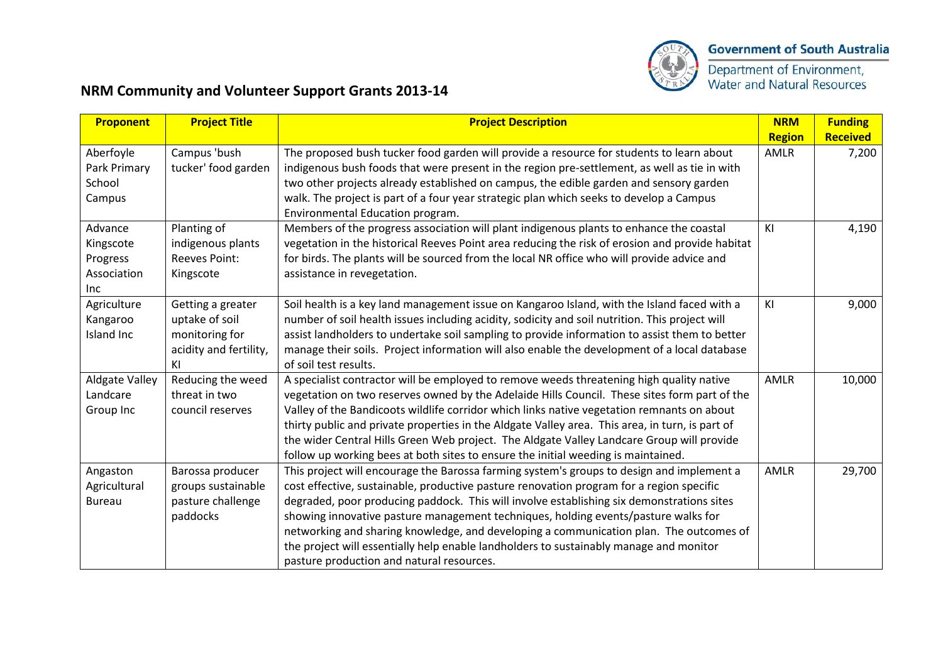

Department of Environment,<br>Water and Natural Resources

## **NRM Community and Volunteer Support Grants 2013-14**

| Proponent                                              | <b>Project Title</b>                                                                  | <b>Project Description</b>                                                                                                                                                                                                                                                                                                                                                                                                                                                                                                                                                                                | <b>NRM</b>    | <b>Funding</b>  |
|--------------------------------------------------------|---------------------------------------------------------------------------------------|-----------------------------------------------------------------------------------------------------------------------------------------------------------------------------------------------------------------------------------------------------------------------------------------------------------------------------------------------------------------------------------------------------------------------------------------------------------------------------------------------------------------------------------------------------------------------------------------------------------|---------------|-----------------|
|                                                        |                                                                                       |                                                                                                                                                                                                                                                                                                                                                                                                                                                                                                                                                                                                           | <b>Region</b> | <b>Received</b> |
| Aberfoyle<br>Park Primary<br>School<br>Campus          | Campus 'bush<br>tucker' food garden                                                   | The proposed bush tucker food garden will provide a resource for students to learn about<br>indigenous bush foods that were present in the region pre-settlement, as well as tie in with<br>two other projects already established on campus, the edible garden and sensory garden<br>walk. The project is part of a four year strategic plan which seeks to develop a Campus<br>Environmental Education program.                                                                                                                                                                                         | <b>AMLR</b>   | 7,200           |
| Advance<br>Kingscote<br>Progress<br>Association<br>Inc | Planting of<br>indigenous plants<br>Reeves Point:<br>Kingscote                        | Members of the progress association will plant indigenous plants to enhance the coastal<br>vegetation in the historical Reeves Point area reducing the risk of erosion and provide habitat<br>for birds. The plants will be sourced from the local NR office who will provide advice and<br>assistance in revegetation.                                                                                                                                                                                                                                                                                   | KI            | 4,190           |
| Agriculture<br>Kangaroo<br>Island Inc                  | Getting a greater<br>uptake of soil<br>monitoring for<br>acidity and fertility,<br>ΚI | Soil health is a key land management issue on Kangaroo Island, with the Island faced with a<br>number of soil health issues including acidity, sodicity and soil nutrition. This project will<br>assist landholders to undertake soil sampling to provide information to assist them to better<br>manage their soils. Project information will also enable the development of a local database<br>of soil test results.                                                                                                                                                                                   | KI            | 9,000           |
| <b>Aldgate Valley</b><br>Landcare<br>Group Inc         | Reducing the weed<br>threat in two<br>council reserves                                | A specialist contractor will be employed to remove weeds threatening high quality native<br>vegetation on two reserves owned by the Adelaide Hills Council. These sites form part of the<br>Valley of the Bandicoots wildlife corridor which links native vegetation remnants on about<br>thirty public and private properties in the Aldgate Valley area. This area, in turn, is part of<br>the wider Central Hills Green Web project. The Aldgate Valley Landcare Group will provide<br>follow up working bees at both sites to ensure the initial weeding is maintained.                               | <b>AMLR</b>   | 10,000          |
| Angaston<br>Agricultural<br><b>Bureau</b>              | Barossa producer<br>groups sustainable<br>pasture challenge<br>paddocks               | This project will encourage the Barossa farming system's groups to design and implement a<br>cost effective, sustainable, productive pasture renovation program for a region specific<br>degraded, poor producing paddock. This will involve establishing six demonstrations sites<br>showing innovative pasture management techniques, holding events/pasture walks for<br>networking and sharing knowledge, and developing a communication plan. The outcomes of<br>the project will essentially help enable landholders to sustainably manage and monitor<br>pasture production and natural resources. | <b>AMLR</b>   | 29,700          |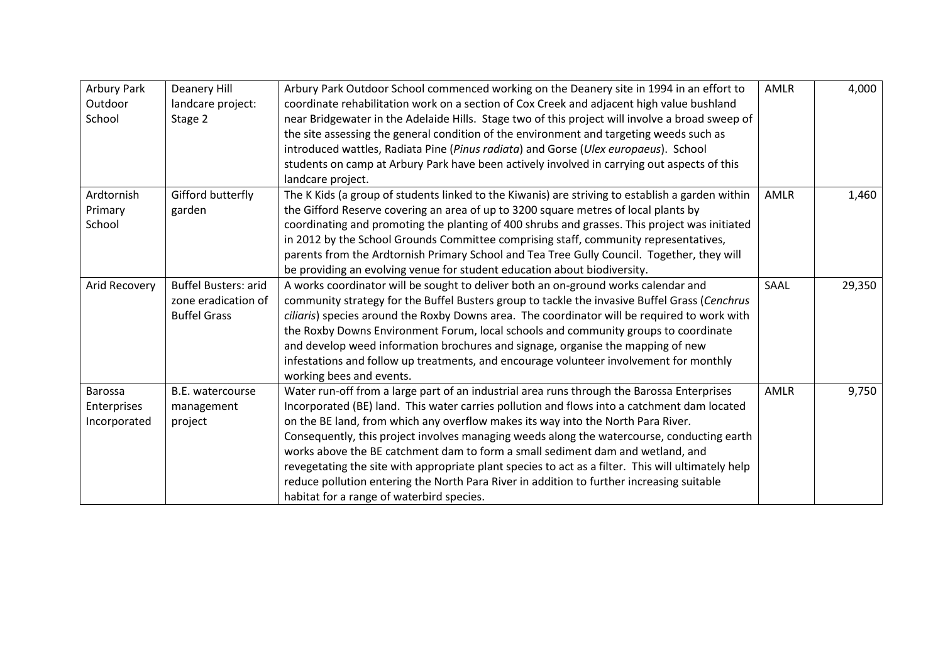| Arbury Park<br>Outdoor<br>School       | Deanery Hill<br>landcare project:<br>Stage 2                              | Arbury Park Outdoor School commenced working on the Deanery site in 1994 in an effort to<br>coordinate rehabilitation work on a section of Cox Creek and adjacent high value bushland<br>near Bridgewater in the Adelaide Hills. Stage two of this project will involve a broad sweep of<br>the site assessing the general condition of the environment and targeting weeds such as<br>introduced wattles, Radiata Pine (Pinus radiata) and Gorse (Ulex europaeus). School<br>students on camp at Arbury Park have been actively involved in carrying out aspects of this<br>landcare project.                                                                                                                | <b>AMLR</b> | 4,000  |
|----------------------------------------|---------------------------------------------------------------------------|---------------------------------------------------------------------------------------------------------------------------------------------------------------------------------------------------------------------------------------------------------------------------------------------------------------------------------------------------------------------------------------------------------------------------------------------------------------------------------------------------------------------------------------------------------------------------------------------------------------------------------------------------------------------------------------------------------------|-------------|--------|
| Ardtornish<br>Primary<br>School        | Gifford butterfly<br>garden                                               | The K Kids (a group of students linked to the Kiwanis) are striving to establish a garden within<br>the Gifford Reserve covering an area of up to 3200 square metres of local plants by<br>coordinating and promoting the planting of 400 shrubs and grasses. This project was initiated<br>in 2012 by the School Grounds Committee comprising staff, community representatives,<br>parents from the Ardtornish Primary School and Tea Tree Gully Council. Together, they will<br>be providing an evolving venue for student education about biodiversity.                                                                                                                                                    | AMLR        | 1,460  |
| Arid Recovery                          | <b>Buffel Busters: arid</b><br>zone eradication of<br><b>Buffel Grass</b> | A works coordinator will be sought to deliver both an on-ground works calendar and<br>community strategy for the Buffel Busters group to tackle the invasive Buffel Grass (Cenchrus<br>ciliaris) species around the Roxby Downs area. The coordinator will be required to work with<br>the Roxby Downs Environment Forum, local schools and community groups to coordinate<br>and develop weed information brochures and signage, organise the mapping of new<br>infestations and follow up treatments, and encourage volunteer involvement for monthly<br>working bees and events.                                                                                                                           | SAAL        | 29,350 |
| Barossa<br>Enterprises<br>Incorporated | B.E. watercourse<br>management<br>project                                 | Water run-off from a large part of an industrial area runs through the Barossa Enterprises<br>Incorporated (BE) land. This water carries pollution and flows into a catchment dam located<br>on the BE land, from which any overflow makes its way into the North Para River.<br>Consequently, this project involves managing weeds along the watercourse, conducting earth<br>works above the BE catchment dam to form a small sediment dam and wetland, and<br>revegetating the site with appropriate plant species to act as a filter. This will ultimately help<br>reduce pollution entering the North Para River in addition to further increasing suitable<br>habitat for a range of waterbird species. | AMLR        | 9,750  |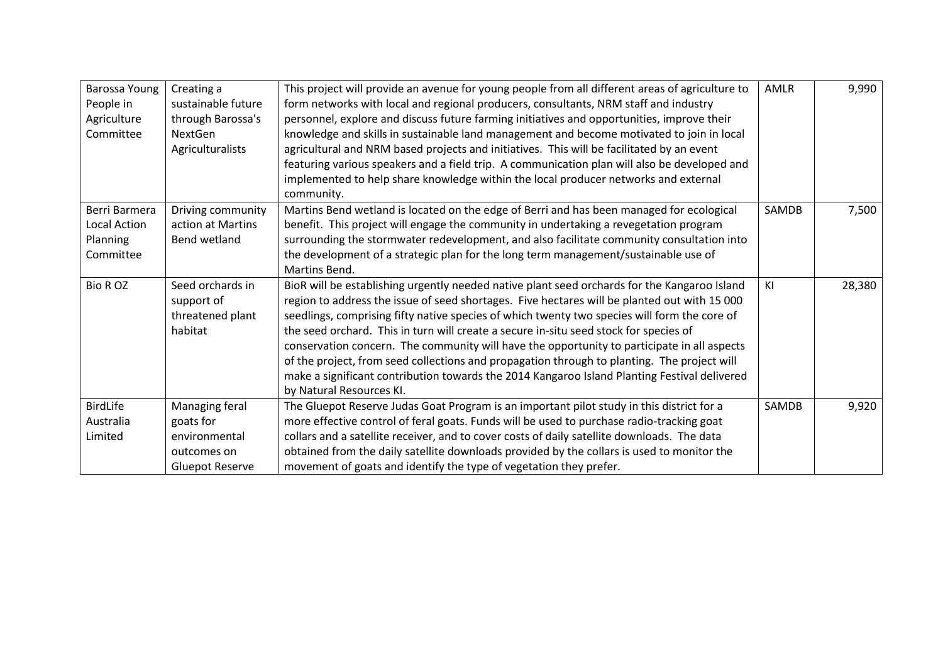| Barossa Young   | Creating a             | This project will provide an avenue for young people from all different areas of agriculture to | AMLR         | 9,990  |
|-----------------|------------------------|-------------------------------------------------------------------------------------------------|--------------|--------|
| People in       | sustainable future     | form networks with local and regional producers, consultants, NRM staff and industry            |              |        |
| Agriculture     | through Barossa's      | personnel, explore and discuss future farming initiatives and opportunities, improve their      |              |        |
| Committee       | <b>NextGen</b>         | knowledge and skills in sustainable land management and become motivated to join in local       |              |        |
|                 | Agriculturalists       | agricultural and NRM based projects and initiatives. This will be facilitated by an event       |              |        |
|                 |                        | featuring various speakers and a field trip. A communication plan will also be developed and    |              |        |
|                 |                        | implemented to help share knowledge within the local producer networks and external             |              |        |
|                 |                        | community.                                                                                      |              |        |
| Berri Barmera   | Driving community      | Martins Bend wetland is located on the edge of Berri and has been managed for ecological        | SAMDB        | 7,500  |
| Local Action    | action at Martins      | benefit. This project will engage the community in undertaking a revegetation program           |              |        |
| <b>Planning</b> | Bend wetland           | surrounding the stormwater redevelopment, and also facilitate community consultation into       |              |        |
| Committee       |                        | the development of a strategic plan for the long term management/sustainable use of             |              |        |
|                 |                        | Martins Bend.                                                                                   |              |        |
| <b>Bio ROZ</b>  | Seed orchards in       | BioR will be establishing urgently needed native plant seed orchards for the Kangaroo Island    | KI           | 28,380 |
|                 | support of             | region to address the issue of seed shortages. Five hectares will be planted out with 15 000    |              |        |
|                 | threatened plant       | seedlings, comprising fifty native species of which twenty two species will form the core of    |              |        |
|                 | habitat                | the seed orchard. This in turn will create a secure in-situ seed stock for species of           |              |        |
|                 |                        | conservation concern. The community will have the opportunity to participate in all aspects     |              |        |
|                 |                        | of the project, from seed collections and propagation through to planting. The project will     |              |        |
|                 |                        | make a significant contribution towards the 2014 Kangaroo Island Planting Festival delivered    |              |        |
|                 |                        | by Natural Resources KI.                                                                        |              |        |
| BirdLife        | Managing feral         | The Gluepot Reserve Judas Goat Program is an important pilot study in this district for a       | <b>SAMDB</b> | 9,920  |
| Australia       | goats for              | more effective control of feral goats. Funds will be used to purchase radio-tracking goat       |              |        |
| Limited         | environmental          | collars and a satellite receiver, and to cover costs of daily satellite downloads. The data     |              |        |
|                 | outcomes on            | obtained from the daily satellite downloads provided by the collars is used to monitor the      |              |        |
|                 | <b>Gluepot Reserve</b> | movement of goats and identify the type of vegetation they prefer.                              |              |        |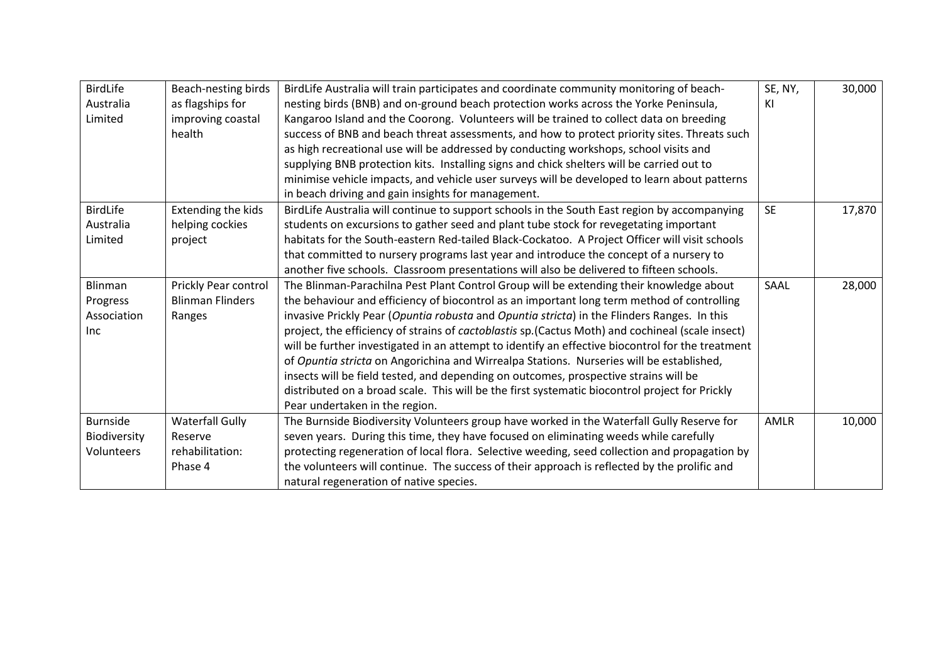| <b>BirdLife</b> | Beach-nesting birds     | BirdLife Australia will train participates and coordinate community monitoring of beach-          | SE, NY,   | 30,000 |
|-----------------|-------------------------|---------------------------------------------------------------------------------------------------|-----------|--------|
| Australia       | as flagships for        | nesting birds (BNB) and on-ground beach protection works across the Yorke Peninsula,              | ΚI        |        |
| Limited         | improving coastal       | Kangaroo Island and the Coorong. Volunteers will be trained to collect data on breeding           |           |        |
|                 | health                  | success of BNB and beach threat assessments, and how to protect priority sites. Threats such      |           |        |
|                 |                         | as high recreational use will be addressed by conducting workshops, school visits and             |           |        |
|                 |                         | supplying BNB protection kits. Installing signs and chick shelters will be carried out to         |           |        |
|                 |                         | minimise vehicle impacts, and vehicle user surveys will be developed to learn about patterns      |           |        |
|                 |                         | in beach driving and gain insights for management.                                                |           |        |
| BirdLife        | Extending the kids      | BirdLife Australia will continue to support schools in the South East region by accompanying      | <b>SE</b> | 17,870 |
| Australia       | helping cockies         | students on excursions to gather seed and plant tube stock for revegetating important             |           |        |
| Limited         | project                 | habitats for the South-eastern Red-tailed Black-Cockatoo. A Project Officer will visit schools    |           |        |
|                 |                         | that committed to nursery programs last year and introduce the concept of a nursery to            |           |        |
|                 |                         | another five schools. Classroom presentations will also be delivered to fifteen schools.          |           |        |
| Blinman         | Prickly Pear control    | The Blinman-Parachilna Pest Plant Control Group will be extending their knowledge about           | SAAL      | 28,000 |
| Progress        | <b>Blinman Flinders</b> | the behaviour and efficiency of biocontrol as an important long term method of controlling        |           |        |
| Association     | Ranges                  | invasive Prickly Pear (Opuntia robusta and Opuntia stricta) in the Flinders Ranges. In this       |           |        |
| <b>Inc</b>      |                         | project, the efficiency of strains of cactoblastis sp. (Cactus Moth) and cochineal (scale insect) |           |        |
|                 |                         | will be further investigated in an attempt to identify an effective biocontrol for the treatment  |           |        |
|                 |                         | of Opuntia stricta on Angorichina and Wirrealpa Stations. Nurseries will be established,          |           |        |
|                 |                         | insects will be field tested, and depending on outcomes, prospective strains will be              |           |        |
|                 |                         | distributed on a broad scale. This will be the first systematic biocontrol project for Prickly    |           |        |
|                 |                         | Pear undertaken in the region.                                                                    |           |        |
| <b>Burnside</b> | <b>Waterfall Gully</b>  | The Burnside Biodiversity Volunteers group have worked in the Waterfall Gully Reserve for         | AMLR      | 10,000 |
| Biodiversity    | Reserve                 | seven years. During this time, they have focused on eliminating weeds while carefully             |           |        |
| Volunteers      | rehabilitation:         | protecting regeneration of local flora. Selective weeding, seed collection and propagation by     |           |        |
|                 | Phase 4                 | the volunteers will continue. The success of their approach is reflected by the prolific and      |           |        |
|                 |                         | natural regeneration of native species.                                                           |           |        |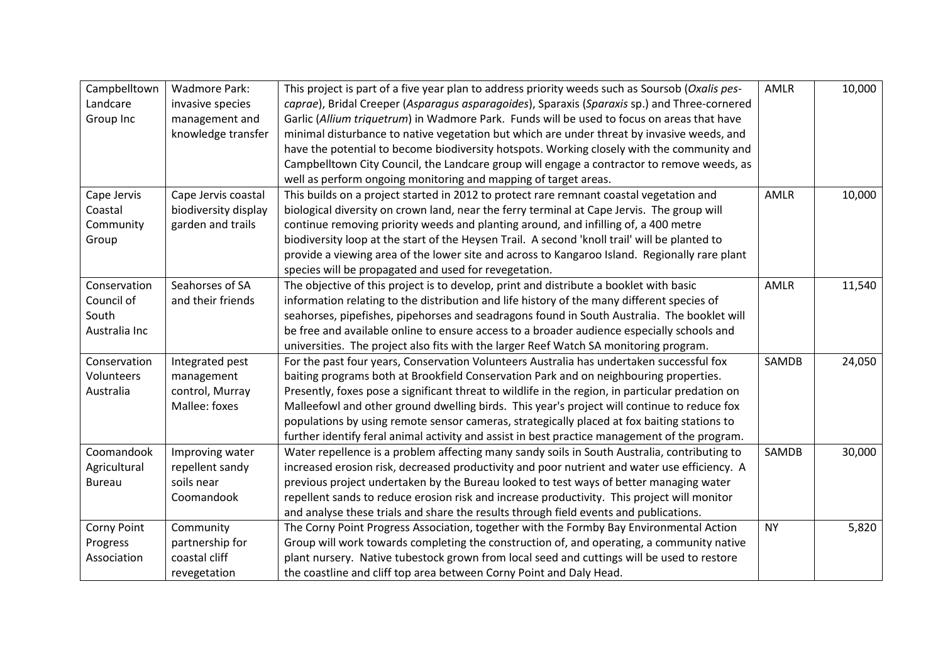| Campbelltown  | <b>Wadmore Park:</b> | This project is part of a five year plan to address priority weeds such as Soursob (Oxalis pes-  | <b>AMLR</b> | 10,000 |
|---------------|----------------------|--------------------------------------------------------------------------------------------------|-------------|--------|
| Landcare      | invasive species     | caprae), Bridal Creeper (Asparagus asparagoides), Sparaxis (Sparaxis sp.) and Three-cornered     |             |        |
| Group Inc     | management and       | Garlic (Allium triquetrum) in Wadmore Park. Funds will be used to focus on areas that have       |             |        |
|               | knowledge transfer   | minimal disturbance to native vegetation but which are under threat by invasive weeds, and       |             |        |
|               |                      | have the potential to become biodiversity hotspots. Working closely with the community and       |             |        |
|               |                      | Campbelltown City Council, the Landcare group will engage a contractor to remove weeds, as       |             |        |
|               |                      | well as perform ongoing monitoring and mapping of target areas.                                  |             |        |
| Cape Jervis   | Cape Jervis coastal  | This builds on a project started in 2012 to protect rare remnant coastal vegetation and          | AMLR        | 10,000 |
| Coastal       | biodiversity display | biological diversity on crown land, near the ferry terminal at Cape Jervis. The group will       |             |        |
| Community     | garden and trails    | continue removing priority weeds and planting around, and infilling of, a 400 metre              |             |        |
| Group         |                      | biodiversity loop at the start of the Heysen Trail. A second 'knoll trail' will be planted to    |             |        |
|               |                      | provide a viewing area of the lower site and across to Kangaroo Island. Regionally rare plant    |             |        |
|               |                      | species will be propagated and used for revegetation.                                            |             |        |
| Conservation  | Seahorses of SA      | The objective of this project is to develop, print and distribute a booklet with basic           | AMLR        | 11,540 |
| Council of    | and their friends    | information relating to the distribution and life history of the many different species of       |             |        |
| South         |                      | seahorses, pipefishes, pipehorses and seadragons found in South Australia. The booklet will      |             |        |
| Australia Inc |                      | be free and available online to ensure access to a broader audience especially schools and       |             |        |
|               |                      | universities. The project also fits with the larger Reef Watch SA monitoring program.            |             |        |
| Conservation  | Integrated pest      | For the past four years, Conservation Volunteers Australia has undertaken successful fox         | SAMDB       | 24,050 |
| Volunteers    | management           | baiting programs both at Brookfield Conservation Park and on neighbouring properties.            |             |        |
| Australia     | control, Murray      | Presently, foxes pose a significant threat to wildlife in the region, in particular predation on |             |        |
|               | Mallee: foxes        | Malleefowl and other ground dwelling birds. This year's project will continue to reduce fox      |             |        |
|               |                      |                                                                                                  |             |        |
|               |                      | populations by using remote sensor cameras, strategically placed at fox baiting stations to      |             |        |
|               |                      | further identify feral animal activity and assist in best practice management of the program.    |             |        |
| Coomandook    | Improving water      | Water repellence is a problem affecting many sandy soils in South Australia, contributing to     | SAMDB       | 30,000 |
| Agricultural  | repellent sandy      | increased erosion risk, decreased productivity and poor nutrient and water use efficiency. A     |             |        |
| <b>Bureau</b> | soils near           | previous project undertaken by the Bureau looked to test ways of better managing water           |             |        |
|               | Coomandook           | repellent sands to reduce erosion risk and increase productivity. This project will monitor      |             |        |
|               |                      | and analyse these trials and share the results through field events and publications.            |             |        |
| Corny Point   | Community            | The Corny Point Progress Association, together with the Formby Bay Environmental Action          | <b>NY</b>   | 5,820  |
| Progress      | partnership for      | Group will work towards completing the construction of, and operating, a community native        |             |        |
| Association   | coastal cliff        | plant nursery. Native tubestock grown from local seed and cuttings will be used to restore       |             |        |
|               | revegetation         | the coastline and cliff top area between Corny Point and Daly Head.                              |             |        |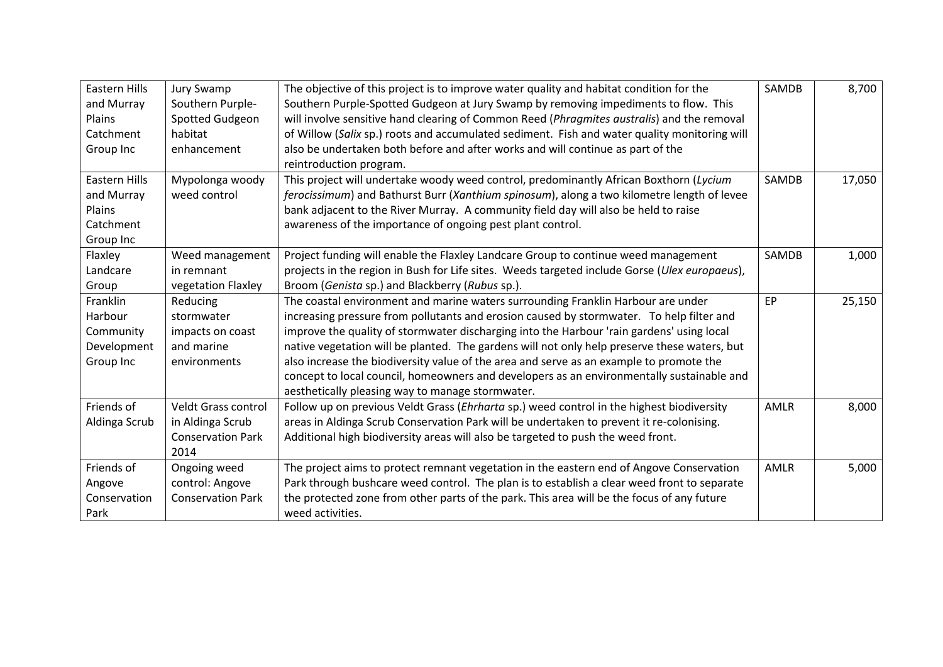| Eastern Hills | Jury Swamp                 | The objective of this project is to improve water quality and habitat condition for the       | SAMDB | 8,700  |
|---------------|----------------------------|-----------------------------------------------------------------------------------------------|-------|--------|
| and Murray    | Southern Purple-           | Southern Purple-Spotted Gudgeon at Jury Swamp by removing impediments to flow. This           |       |        |
| Plains        | Spotted Gudgeon            | will involve sensitive hand clearing of Common Reed (Phragmites australis) and the removal    |       |        |
| Catchment     | habitat                    | of Willow (Salix sp.) roots and accumulated sediment. Fish and water quality monitoring will  |       |        |
| Group Inc     | enhancement                | also be undertaken both before and after works and will continue as part of the               |       |        |
|               |                            | reintroduction program.                                                                       |       |        |
| Eastern Hills | Mypolonga woody            | This project will undertake woody weed control, predominantly African Boxthorn (Lycium        | SAMDB | 17,050 |
| and Murray    | weed control               | ferocissimum) and Bathurst Burr (Xanthium spinosum), along a two kilometre length of levee    |       |        |
| Plains        |                            | bank adjacent to the River Murray. A community field day will also be held to raise           |       |        |
| Catchment     |                            | awareness of the importance of ongoing pest plant control.                                    |       |        |
| Group Inc     |                            |                                                                                               |       |        |
| Flaxley       | Weed management            | Project funding will enable the Flaxley Landcare Group to continue weed management            | SAMDB | 1,000  |
| Landcare      | in remnant                 | projects in the region in Bush for Life sites. Weeds targeted include Gorse (Ulex europaeus), |       |        |
| Group         | vegetation Flaxley         | Broom (Genista sp.) and Blackberry (Rubus sp.).                                               |       |        |
| Franklin      | Reducing                   | The coastal environment and marine waters surrounding Franklin Harbour are under              | EP    | 25,150 |
| Harbour       | stormwater                 | increasing pressure from pollutants and erosion caused by stormwater. To help filter and      |       |        |
| Community     | impacts on coast           | improve the quality of stormwater discharging into the Harbour 'rain gardens' using local     |       |        |
| Development   | and marine                 | native vegetation will be planted. The gardens will not only help preserve these waters, but  |       |        |
| Group Inc     | environments               | also increase the biodiversity value of the area and serve as an example to promote the       |       |        |
|               |                            | concept to local council, homeowners and developers as an environmentally sustainable and     |       |        |
|               |                            | aesthetically pleasing way to manage stormwater.                                              |       |        |
| Friends of    | <b>Veldt Grass control</b> | Follow up on previous Veldt Grass (Ehrharta sp.) weed control in the highest biodiversity     | AMLR  | 8,000  |
| Aldinga Scrub | in Aldinga Scrub           | areas in Aldinga Scrub Conservation Park will be undertaken to prevent it re-colonising.      |       |        |
|               | <b>Conservation Park</b>   | Additional high biodiversity areas will also be targeted to push the weed front.              |       |        |
|               | 2014                       |                                                                                               |       |        |
| Friends of    | Ongoing weed               | The project aims to protect remnant vegetation in the eastern end of Angove Conservation      | AMLR  | 5,000  |
| Angove        | control: Angove            | Park through bushcare weed control. The plan is to establish a clear weed front to separate   |       |        |
| Conservation  | <b>Conservation Park</b>   | the protected zone from other parts of the park. This area will be the focus of any future    |       |        |
| Park          |                            | weed activities.                                                                              |       |        |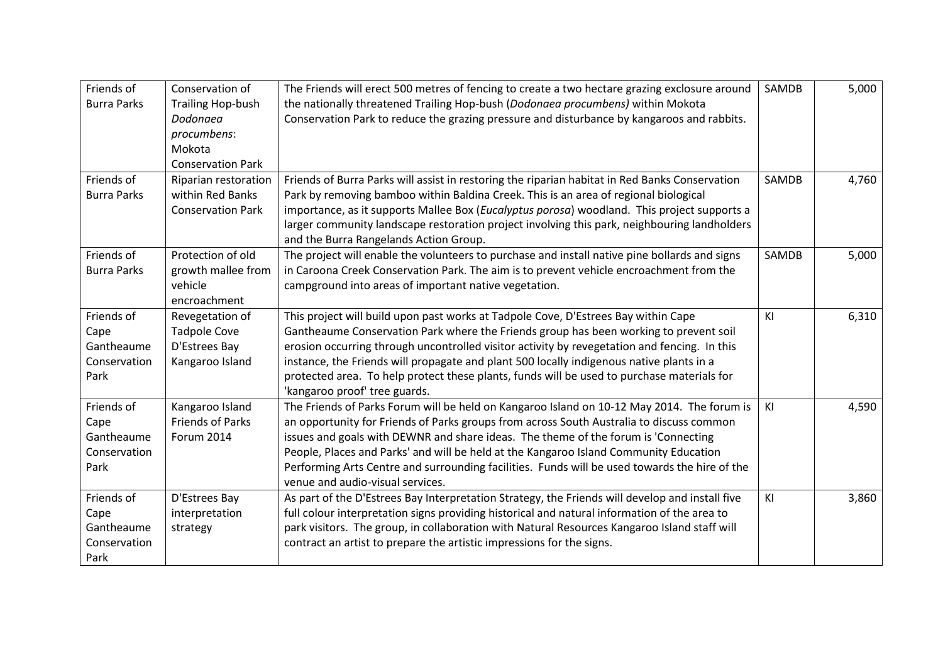| Friends of         | Conservation of          | The Friends will erect 500 metres of fencing to create a two hectare grazing exclosure around   | SAMDB | 5,000 |
|--------------------|--------------------------|-------------------------------------------------------------------------------------------------|-------|-------|
| <b>Burra Parks</b> | <b>Trailing Hop-bush</b> | the nationally threatened Trailing Hop-bush (Dodonaea procumbens) within Mokota                 |       |       |
|                    | Dodonaea                 | Conservation Park to reduce the grazing pressure and disturbance by kangaroos and rabbits.      |       |       |
|                    | procumbens:              |                                                                                                 |       |       |
|                    | Mokota                   |                                                                                                 |       |       |
|                    | <b>Conservation Park</b> |                                                                                                 |       |       |
| Friends of         | Riparian restoration     | Friends of Burra Parks will assist in restoring the riparian habitat in Red Banks Conservation  | SAMDB | 4,760 |
| <b>Burra Parks</b> | within Red Banks         | Park by removing bamboo within Baldina Creek. This is an area of regional biological            |       |       |
|                    | <b>Conservation Park</b> | importance, as it supports Mallee Box (Eucalyptus porosa) woodland. This project supports a     |       |       |
|                    |                          | larger community landscape restoration project involving this park, neighbouring landholders    |       |       |
|                    |                          | and the Burra Rangelands Action Group.                                                          |       |       |
| Friends of         | Protection of old        | The project will enable the volunteers to purchase and install native pine bollards and signs   | SAMDB | 5,000 |
| <b>Burra Parks</b> | growth mallee from       | in Caroona Creek Conservation Park. The aim is to prevent vehicle encroachment from the         |       |       |
|                    | vehicle                  | campground into areas of important native vegetation.                                           |       |       |
|                    | encroachment             |                                                                                                 |       |       |
| Friends of         | Revegetation of          | This project will build upon past works at Tadpole Cove, D'Estrees Bay within Cape              | KI    | 6,310 |
| Cape               | <b>Tadpole Cove</b>      | Gantheaume Conservation Park where the Friends group has been working to prevent soil           |       |       |
| Gantheaume         | D'Estrees Bay            | erosion occurring through uncontrolled visitor activity by revegetation and fencing. In this    |       |       |
| Conservation       | Kangaroo Island          | instance, the Friends will propagate and plant 500 locally indigenous native plants in a        |       |       |
| Park               |                          | protected area. To help protect these plants, funds will be used to purchase materials for      |       |       |
|                    |                          | 'kangaroo proof' tree guards.                                                                   |       |       |
| Friends of         | Kangaroo Island          | The Friends of Parks Forum will be held on Kangaroo Island on 10-12 May 2014. The forum is      | KI    | 4,590 |
| Cape               | <b>Friends of Parks</b>  | an opportunity for Friends of Parks groups from across South Australia to discuss common        |       |       |
| Gantheaume         | Forum 2014               | issues and goals with DEWNR and share ideas. The theme of the forum is 'Connecting              |       |       |
| Conservation       |                          | People, Places and Parks' and will be held at the Kangaroo Island Community Education           |       |       |
| Park               |                          | Performing Arts Centre and surrounding facilities. Funds will be used towards the hire of the   |       |       |
|                    |                          | venue and audio-visual services.                                                                |       |       |
| Friends of         | D'Estrees Bay            | As part of the D'Estrees Bay Interpretation Strategy, the Friends will develop and install five | KI    | 3,860 |
| Cape               | interpretation           | full colour interpretation signs providing historical and natural information of the area to    |       |       |
| Gantheaume         | strategy                 | park visitors. The group, in collaboration with Natural Resources Kangaroo Island staff will    |       |       |
| Conservation       |                          | contract an artist to prepare the artistic impressions for the signs.                           |       |       |
| Park               |                          |                                                                                                 |       |       |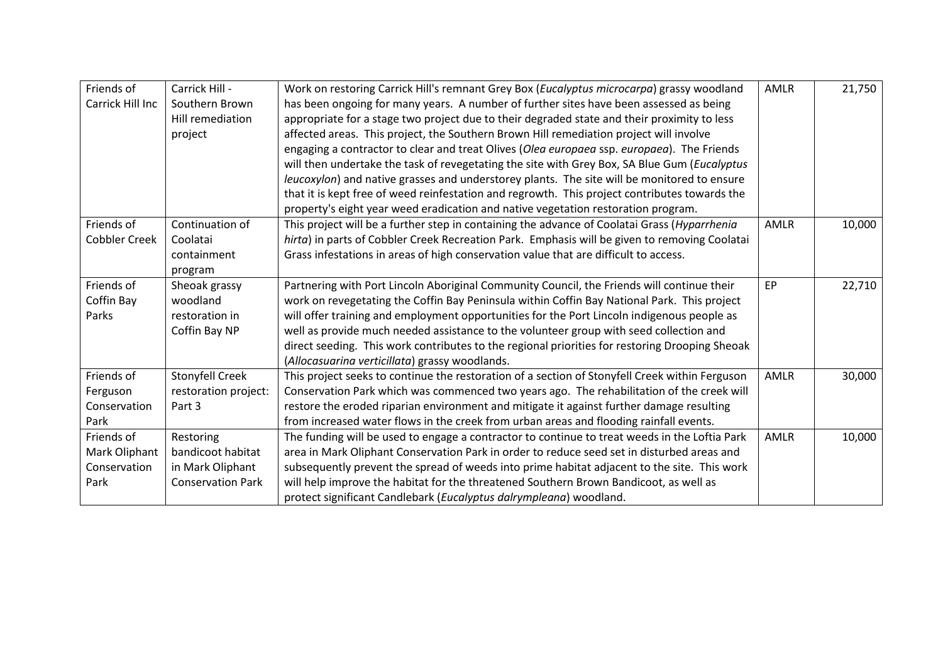| Friends of       | Carrick Hill -           | Work on restoring Carrick Hill's remnant Grey Box (Eucalyptus microcarpa) grassy woodland      | AMLR        | 21,750 |
|------------------|--------------------------|------------------------------------------------------------------------------------------------|-------------|--------|
| Carrick Hill Inc | Southern Brown           | has been ongoing for many years. A number of further sites have been assessed as being         |             |        |
|                  | Hill remediation         | appropriate for a stage two project due to their degraded state and their proximity to less    |             |        |
|                  | project                  | affected areas. This project, the Southern Brown Hill remediation project will involve         |             |        |
|                  |                          | engaging a contractor to clear and treat Olives (Olea europaea ssp. europaea). The Friends     |             |        |
|                  |                          | will then undertake the task of revegetating the site with Grey Box, SA Blue Gum (Eucalyptus   |             |        |
|                  |                          | leucoxylon) and native grasses and understorey plants. The site will be monitored to ensure    |             |        |
|                  |                          | that it is kept free of weed reinfestation and regrowth. This project contributes towards the  |             |        |
|                  |                          | property's eight year weed eradication and native vegetation restoration program.              |             |        |
| Friends of       | Continuation of          | This project will be a further step in containing the advance of Coolatai Grass (Hyparrhenia   | AMLR        | 10,000 |
| Cobbler Creek    | Coolatai                 | hirta) in parts of Cobbler Creek Recreation Park. Emphasis will be given to removing Coolatai  |             |        |
|                  | containment              | Grass infestations in areas of high conservation value that are difficult to access.           |             |        |
|                  | program                  |                                                                                                |             |        |
| Friends of       | Sheoak grassy            | Partnering with Port Lincoln Aboriginal Community Council, the Friends will continue their     | EP          | 22,710 |
| Coffin Bay       | woodland                 | work on revegetating the Coffin Bay Peninsula within Coffin Bay National Park. This project    |             |        |
| Parks            | restoration in           | will offer training and employment opportunities for the Port Lincoln indigenous people as     |             |        |
|                  | Coffin Bay NP            | well as provide much needed assistance to the volunteer group with seed collection and         |             |        |
|                  |                          | direct seeding. This work contributes to the regional priorities for restoring Drooping Sheoak |             |        |
|                  |                          | (Allocasuarina verticillata) grassy woodlands.                                                 |             |        |
| Friends of       | Stonyfell Creek          | This project seeks to continue the restoration of a section of Stonyfell Creek within Ferguson | AMLR        | 30,000 |
| Ferguson         | restoration project:     | Conservation Park which was commenced two years ago. The rehabilitation of the creek will      |             |        |
| Conservation     | Part 3                   | restore the eroded riparian environment and mitigate it against further damage resulting       |             |        |
| Park             |                          | from increased water flows in the creek from urban areas and flooding rainfall events.         |             |        |
| Friends of       | Restoring                | The funding will be used to engage a contractor to continue to treat weeds in the Loftia Park  | <b>AMLR</b> | 10,000 |
| Mark Oliphant    | bandicoot habitat        | area in Mark Oliphant Conservation Park in order to reduce seed set in disturbed areas and     |             |        |
| Conservation     | in Mark Oliphant         | subsequently prevent the spread of weeds into prime habitat adjacent to the site. This work    |             |        |
| Park             | <b>Conservation Park</b> | will help improve the habitat for the threatened Southern Brown Bandicoot, as well as          |             |        |
|                  |                          | protect significant Candlebark (Eucalyptus dalrympleana) woodland.                             |             |        |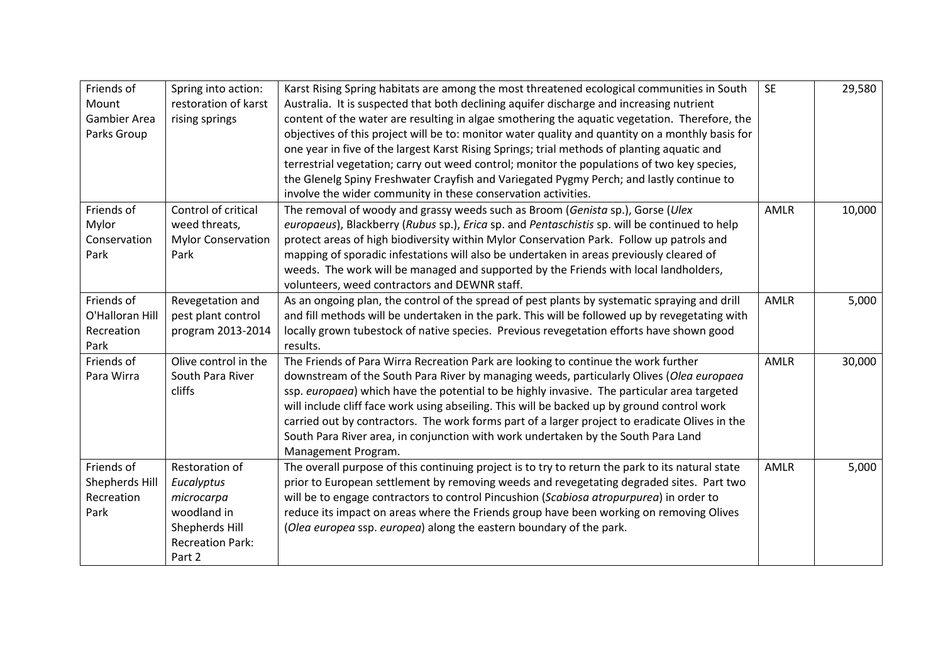| Friends of<br>Mount<br><b>Gambier Area</b><br>Parks Group | Spring into action:<br>restoration of karst<br>rising springs                                                    | Karst Rising Spring habitats are among the most threatened ecological communities in South<br>Australia. It is suspected that both declining aquifer discharge and increasing nutrient<br>content of the water are resulting in algae smothering the aquatic vegetation. Therefore, the<br>objectives of this project will be to: monitor water quality and quantity on a monthly basis for<br>one year in five of the largest Karst Rising Springs; trial methods of planting aquatic and<br>terrestrial vegetation; carry out weed control; monitor the populations of two key species,<br>the Glenelg Spiny Freshwater Crayfish and Variegated Pygmy Perch; and lastly continue to<br>involve the wider community in these conservation activities. | <b>SE</b>   | 29,580 |
|-----------------------------------------------------------|------------------------------------------------------------------------------------------------------------------|--------------------------------------------------------------------------------------------------------------------------------------------------------------------------------------------------------------------------------------------------------------------------------------------------------------------------------------------------------------------------------------------------------------------------------------------------------------------------------------------------------------------------------------------------------------------------------------------------------------------------------------------------------------------------------------------------------------------------------------------------------|-------------|--------|
| Friends of<br>Mylor<br>Conservation<br>Park               | Control of critical<br>weed threats,<br><b>Mylor Conservation</b><br>Park                                        | The removal of woody and grassy weeds such as Broom (Genista sp.), Gorse (Ulex<br>europaeus), Blackberry (Rubus sp.), Erica sp. and Pentaschistis sp. will be continued to help<br>protect areas of high biodiversity within Mylor Conservation Park. Follow up patrols and<br>mapping of sporadic infestations will also be undertaken in areas previously cleared of<br>weeds. The work will be managed and supported by the Friends with local landholders,<br>volunteers, weed contractors and DEWNR staff.                                                                                                                                                                                                                                        | <b>AMLR</b> | 10,000 |
| Friends of<br>O'Halloran Hill<br>Recreation<br>Park       | Revegetation and<br>pest plant control<br>program 2013-2014                                                      | As an ongoing plan, the control of the spread of pest plants by systematic spraying and drill<br>and fill methods will be undertaken in the park. This will be followed up by revegetating with<br>locally grown tubestock of native species. Previous revegetation efforts have shown good<br>results.                                                                                                                                                                                                                                                                                                                                                                                                                                                | <b>AMLR</b> | 5,000  |
| Friends of<br>Para Wirra                                  | Olive control in the<br>South Para River<br>cliffs                                                               | The Friends of Para Wirra Recreation Park are looking to continue the work further<br>downstream of the South Para River by managing weeds, particularly Olives (Olea europaea<br>ssp. europaea) which have the potential to be highly invasive. The particular area targeted<br>will include cliff face work using abseiling. This will be backed up by ground control work<br>carried out by contractors. The work forms part of a larger project to eradicate Olives in the<br>South Para River area, in conjunction with work undertaken by the South Para Land<br>Management Program.                                                                                                                                                             | AMLR        | 30,000 |
| Friends of<br>Shepherds Hill<br>Recreation<br>Park        | Restoration of<br>Eucalyptus<br>microcarpa<br>woodland in<br>Shepherds Hill<br><b>Recreation Park:</b><br>Part 2 | The overall purpose of this continuing project is to try to return the park to its natural state<br>prior to European settlement by removing weeds and revegetating degraded sites. Part two<br>will be to engage contractors to control Pincushion (Scabiosa atropurpurea) in order to<br>reduce its impact on areas where the Friends group have been working on removing Olives<br>(Olea europea ssp. europea) along the eastern boundary of the park.                                                                                                                                                                                                                                                                                              | <b>AMLR</b> | 5,000  |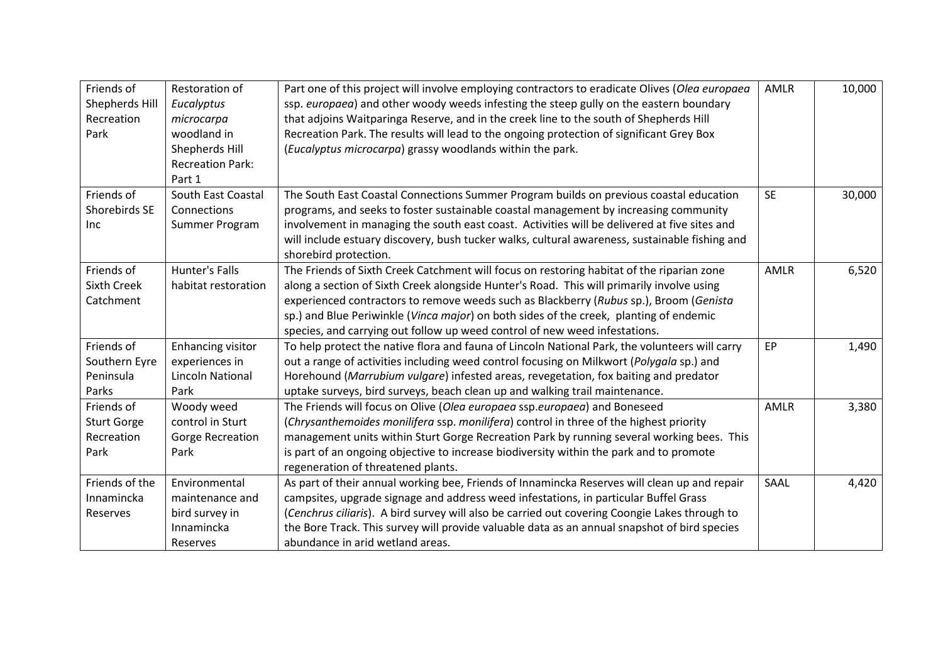| Friends of<br>Shepherds Hill<br>Recreation<br>Park     | Restoration of<br>Eucalyptus<br>microcarpa<br>woodland in<br>Shepherds Hill<br><b>Recreation Park:</b><br>Part 1 | Part one of this project will involve employing contractors to eradicate Olives (Olea europaea<br>ssp. europaea) and other woody weeds infesting the steep gully on the eastern boundary<br>that adjoins Waitparinga Reserve, and in the creek line to the south of Shepherds Hill<br>Recreation Park. The results will lead to the ongoing protection of significant Grey Box<br>(Eucalyptus microcarpa) grassy woodlands within the park.              | AMLR      | 10,000 |
|--------------------------------------------------------|------------------------------------------------------------------------------------------------------------------|----------------------------------------------------------------------------------------------------------------------------------------------------------------------------------------------------------------------------------------------------------------------------------------------------------------------------------------------------------------------------------------------------------------------------------------------------------|-----------|--------|
| Friends of<br>Shorebirds SE<br>Inc                     | South East Coastal<br>Connections<br>Summer Program                                                              | The South East Coastal Connections Summer Program builds on previous coastal education<br>programs, and seeks to foster sustainable coastal management by increasing community<br>involvement in managing the south east coast. Activities will be delivered at five sites and<br>will include estuary discovery, bush tucker walks, cultural awareness, sustainable fishing and<br>shorebird protection.                                                | <b>SE</b> | 30,000 |
| Friends of<br><b>Sixth Creek</b><br>Catchment          | Hunter's Falls<br>habitat restoration                                                                            | The Friends of Sixth Creek Catchment will focus on restoring habitat of the riparian zone<br>along a section of Sixth Creek alongside Hunter's Road. This will primarily involve using<br>experienced contractors to remove weeds such as Blackberry (Rubus sp.), Broom (Genista<br>sp.) and Blue Periwinkle (Vinca major) on both sides of the creek, planting of endemic<br>species, and carrying out follow up weed control of new weed infestations. | AMLR      | 6,520  |
| Friends of<br>Southern Eyre<br>Peninsula<br>Parks      | Enhancing visitor<br>experiences in<br><b>Lincoln National</b><br>Park                                           | To help protect the native flora and fauna of Lincoln National Park, the volunteers will carry<br>out a range of activities including weed control focusing on Milkwort (Polygala sp.) and<br>Horehound (Marrubium vulgare) infested areas, revegetation, fox baiting and predator<br>uptake surveys, bird surveys, beach clean up and walking trail maintenance.                                                                                        | EP        | 1,490  |
| Friends of<br><b>Sturt Gorge</b><br>Recreation<br>Park | Woody weed<br>control in Sturt<br><b>Gorge Recreation</b><br>Park                                                | The Friends will focus on Olive (Olea europaea ssp.europaea) and Boneseed<br>(Chrysanthemoides monilifera ssp. monilifera) control in three of the highest priority<br>management units within Sturt Gorge Recreation Park by running several working bees. This<br>is part of an ongoing objective to increase biodiversity within the park and to promote<br>regeneration of threatened plants.                                                        | AMLR      | 3,380  |
| Friends of the<br>Innamincka<br>Reserves               | Environmental<br>maintenance and<br>bird survey in<br>Innamincka<br>Reserves                                     | As part of their annual working bee, Friends of Innamincka Reserves will clean up and repair<br>campsites, upgrade signage and address weed infestations, in particular Buffel Grass<br>(Cenchrus ciliaris). A bird survey will also be carried out covering Coongie Lakes through to<br>the Bore Track. This survey will provide valuable data as an annual snapshot of bird species<br>abundance in arid wetland areas.                                | SAAL      | 4,420  |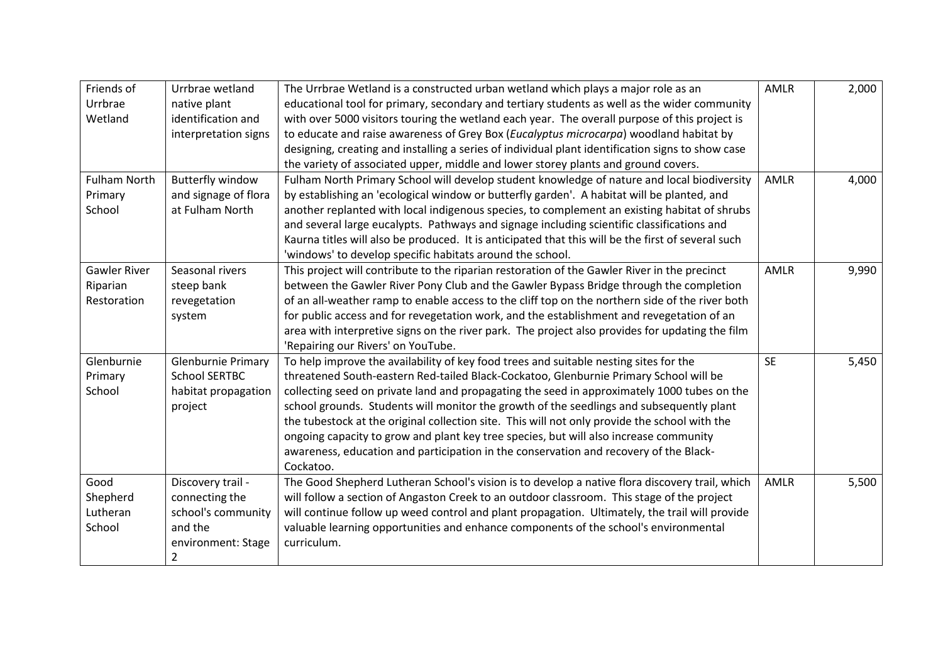| Friends of          | Urrbrae wetland           | The Urrbrae Wetland is a constructed urban wetland which plays a major role as an                  | <b>AMLR</b> | 2,000 |
|---------------------|---------------------------|----------------------------------------------------------------------------------------------------|-------------|-------|
| Urrbrae             | native plant              | educational tool for primary, secondary and tertiary students as well as the wider community       |             |       |
| Wetland             | identification and        | with over 5000 visitors touring the wetland each year. The overall purpose of this project is      |             |       |
|                     | interpretation signs      | to educate and raise awareness of Grey Box (Eucalyptus microcarpa) woodland habitat by             |             |       |
|                     |                           | designing, creating and installing a series of individual plant identification signs to show case  |             |       |
|                     |                           | the variety of associated upper, middle and lower storey plants and ground covers.                 |             |       |
| <b>Fulham North</b> | <b>Butterfly window</b>   | Fulham North Primary School will develop student knowledge of nature and local biodiversity        | <b>AMLR</b> | 4,000 |
| Primary             | and signage of flora      | by establishing an 'ecological window or butterfly garden'. A habitat will be planted, and         |             |       |
| School              | at Fulham North           | another replanted with local indigenous species, to complement an existing habitat of shrubs       |             |       |
|                     |                           | and several large eucalypts. Pathways and signage including scientific classifications and         |             |       |
|                     |                           | Kaurna titles will also be produced. It is anticipated that this will be the first of several such |             |       |
|                     |                           | 'windows' to develop specific habitats around the school.                                          |             |       |
| <b>Gawler River</b> | Seasonal rivers           | This project will contribute to the riparian restoration of the Gawler River in the precinct       | <b>AMLR</b> | 9,990 |
| Riparian            | steep bank                | between the Gawler River Pony Club and the Gawler Bypass Bridge through the completion             |             |       |
| Restoration         | revegetation              | of an all-weather ramp to enable access to the cliff top on the northern side of the river both    |             |       |
|                     | system                    | for public access and for revegetation work, and the establishment and revegetation of an          |             |       |
|                     |                           | area with interpretive signs on the river park. The project also provides for updating the film    |             |       |
|                     |                           | 'Repairing our Rivers' on YouTube.                                                                 |             |       |
| Glenburnie          | <b>Glenburnie Primary</b> | To help improve the availability of key food trees and suitable nesting sites for the              | <b>SE</b>   | 5,450 |
| Primary             | <b>School SERTBC</b>      | threatened South-eastern Red-tailed Black-Cockatoo, Glenburnie Primary School will be              |             |       |
| School              | habitat propagation       | collecting seed on private land and propagating the seed in approximately 1000 tubes on the        |             |       |
|                     | project                   | school grounds. Students will monitor the growth of the seedlings and subsequently plant           |             |       |
|                     |                           | the tubestock at the original collection site. This will not only provide the school with the      |             |       |
|                     |                           | ongoing capacity to grow and plant key tree species, but will also increase community              |             |       |
|                     |                           | awareness, education and participation in the conservation and recovery of the Black-              |             |       |
|                     |                           | Cockatoo.                                                                                          |             |       |
| Good                | Discovery trail -         | The Good Shepherd Lutheran School's vision is to develop a native flora discovery trail, which     | AMLR        | 5,500 |
| Shepherd            | connecting the            | will follow a section of Angaston Creek to an outdoor classroom. This stage of the project         |             |       |
| Lutheran            | school's community        | will continue follow up weed control and plant propagation. Ultimately, the trail will provide     |             |       |
| School              | and the                   | valuable learning opportunities and enhance components of the school's environmental               |             |       |
|                     | environment: Stage        | curriculum.                                                                                        |             |       |
|                     | $\overline{2}$            |                                                                                                    |             |       |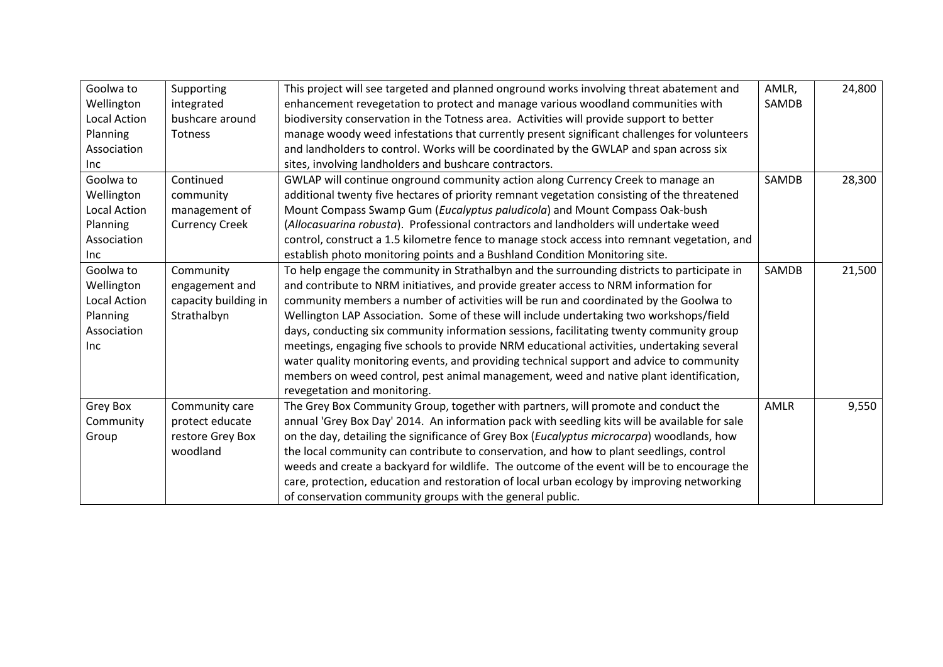| Goolwa to           | Supporting            | This project will see targeted and planned onground works involving threat abatement and      | AMLR,        | 24,800 |
|---------------------|-----------------------|-----------------------------------------------------------------------------------------------|--------------|--------|
| Wellington          | integrated            | enhancement revegetation to protect and manage various woodland communities with              | SAMDB        |        |
| <b>Local Action</b> | bushcare around       | biodiversity conservation in the Totness area. Activities will provide support to better      |              |        |
| Planning            | Totness               | manage woody weed infestations that currently present significant challenges for volunteers   |              |        |
| Association         |                       | and landholders to control. Works will be coordinated by the GWLAP and span across six        |              |        |
| Inc.                |                       | sites, involving landholders and bushcare contractors.                                        |              |        |
| Goolwa to           | Continued             | GWLAP will continue onground community action along Currency Creek to manage an               | <b>SAMDB</b> | 28,300 |
| Wellington          | community             | additional twenty five hectares of priority remnant vegetation consisting of the threatened   |              |        |
| <b>Local Action</b> | management of         | Mount Compass Swamp Gum (Eucalyptus paludicola) and Mount Compass Oak-bush                    |              |        |
| Planning            | <b>Currency Creek</b> | (Allocasuarina robusta). Professional contractors and landholders will undertake weed         |              |        |
| Association         |                       | control, construct a 1.5 kilometre fence to manage stock access into remnant vegetation, and  |              |        |
| Inc.                |                       | establish photo monitoring points and a Bushland Condition Monitoring site.                   |              |        |
| Goolwa to           | Community             | To help engage the community in Strathalbyn and the surrounding districts to participate in   | SAMDB        | 21,500 |
| Wellington          | engagement and        | and contribute to NRM initiatives, and provide greater access to NRM information for          |              |        |
| <b>Local Action</b> | capacity building in  | community members a number of activities will be run and coordinated by the Goolwa to         |              |        |
| Planning            | Strathalbyn           | Wellington LAP Association. Some of these will include undertaking two workshops/field        |              |        |
| Association         |                       | days, conducting six community information sessions, facilitating twenty community group      |              |        |
| Inc                 |                       | meetings, engaging five schools to provide NRM educational activities, undertaking several    |              |        |
|                     |                       | water quality monitoring events, and providing technical support and advice to community      |              |        |
|                     |                       | members on weed control, pest animal management, weed and native plant identification,        |              |        |
|                     |                       | revegetation and monitoring.                                                                  |              |        |
| Grey Box            | Community care        | The Grey Box Community Group, together with partners, will promote and conduct the            | AMLR         | 9,550  |
| Community           | protect educate       | annual 'Grey Box Day' 2014. An information pack with seedling kits will be available for sale |              |        |
| Group               | restore Grey Box      | on the day, detailing the significance of Grey Box (Eucalyptus microcarpa) woodlands, how     |              |        |
|                     | woodland              | the local community can contribute to conservation, and how to plant seedlings, control       |              |        |
|                     |                       | weeds and create a backyard for wildlife. The outcome of the event will be to encourage the   |              |        |
|                     |                       | care, protection, education and restoration of local urban ecology by improving networking    |              |        |
|                     |                       | of conservation community groups with the general public.                                     |              |        |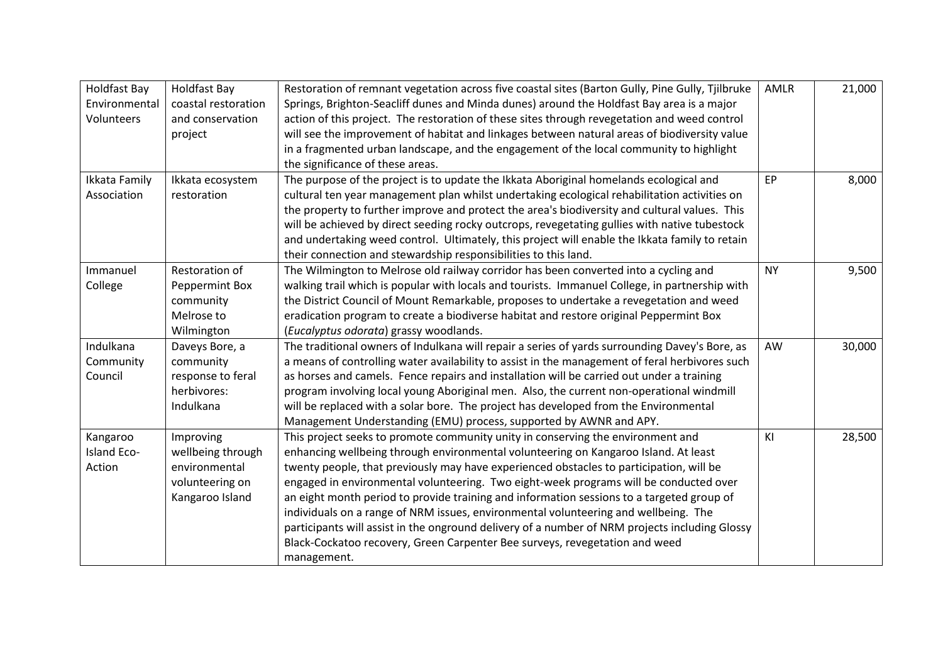| Holdfast Bay  | <b>Holdfast Bay</b> | Restoration of remnant vegetation across five coastal sites (Barton Gully, Pine Gully, Tjilbruke | <b>AMLR</b> | 21,000 |
|---------------|---------------------|--------------------------------------------------------------------------------------------------|-------------|--------|
| Environmental | coastal restoration | Springs, Brighton-Seacliff dunes and Minda dunes) around the Holdfast Bay area is a major        |             |        |
| Volunteers    | and conservation    | action of this project. The restoration of these sites through revegetation and weed control     |             |        |
|               | project             | will see the improvement of habitat and linkages between natural areas of biodiversity value     |             |        |
|               |                     | in a fragmented urban landscape, and the engagement of the local community to highlight          |             |        |
|               |                     | the significance of these areas.                                                                 |             |        |
| Ikkata Family | Ikkata ecosystem    | The purpose of the project is to update the Ikkata Aboriginal homelands ecological and           | EP          | 8,000  |
| Association   | restoration         | cultural ten year management plan whilst undertaking ecological rehabilitation activities on     |             |        |
|               |                     | the property to further improve and protect the area's biodiversity and cultural values. This    |             |        |
|               |                     | will be achieved by direct seeding rocky outcrops, revegetating gullies with native tubestock    |             |        |
|               |                     | and undertaking weed control. Ultimately, this project will enable the Ikkata family to retain   |             |        |
|               |                     | their connection and stewardship responsibilities to this land.                                  |             |        |
| Immanuel      | Restoration of      | The Wilmington to Melrose old railway corridor has been converted into a cycling and             | <b>NY</b>   | 9,500  |
| College       | Peppermint Box      | walking trail which is popular with locals and tourists. Immanuel College, in partnership with   |             |        |
|               | community           | the District Council of Mount Remarkable, proposes to undertake a revegetation and weed          |             |        |
|               | Melrose to          | eradication program to create a biodiverse habitat and restore original Peppermint Box           |             |        |
|               | Wilmington          | (Eucalyptus odorata) grassy woodlands.                                                           |             |        |
| Indulkana     | Daveys Bore, a      | The traditional owners of Indulkana will repair a series of yards surrounding Davey's Bore, as   | AW          | 30,000 |
| Community     | community           | a means of controlling water availability to assist in the management of feral herbivores such   |             |        |
| Council       | response to feral   | as horses and camels. Fence repairs and installation will be carried out under a training        |             |        |
|               | herbivores:         | program involving local young Aboriginal men. Also, the current non-operational windmill         |             |        |
|               | Indulkana           | will be replaced with a solar bore. The project has developed from the Environmental             |             |        |
|               |                     | Management Understanding (EMU) process, supported by AWNR and APY.                               |             |        |
| Kangaroo      | Improving           | This project seeks to promote community unity in conserving the environment and                  | KI          | 28,500 |
| Island Eco-   | wellbeing through   | enhancing wellbeing through environmental volunteering on Kangaroo Island. At least              |             |        |
| Action        | environmental       | twenty people, that previously may have experienced obstacles to participation, will be          |             |        |
|               | volunteering on     | engaged in environmental volunteering. Two eight-week programs will be conducted over            |             |        |
|               | Kangaroo Island     | an eight month period to provide training and information sessions to a targeted group of        |             |        |
|               |                     | individuals on a range of NRM issues, environmental volunteering and wellbeing. The              |             |        |
|               |                     | participants will assist in the onground delivery of a number of NRM projects including Glossy   |             |        |
|               |                     | Black-Cockatoo recovery, Green Carpenter Bee surveys, revegetation and weed                      |             |        |
|               |                     | management.                                                                                      |             |        |
|               |                     |                                                                                                  |             |        |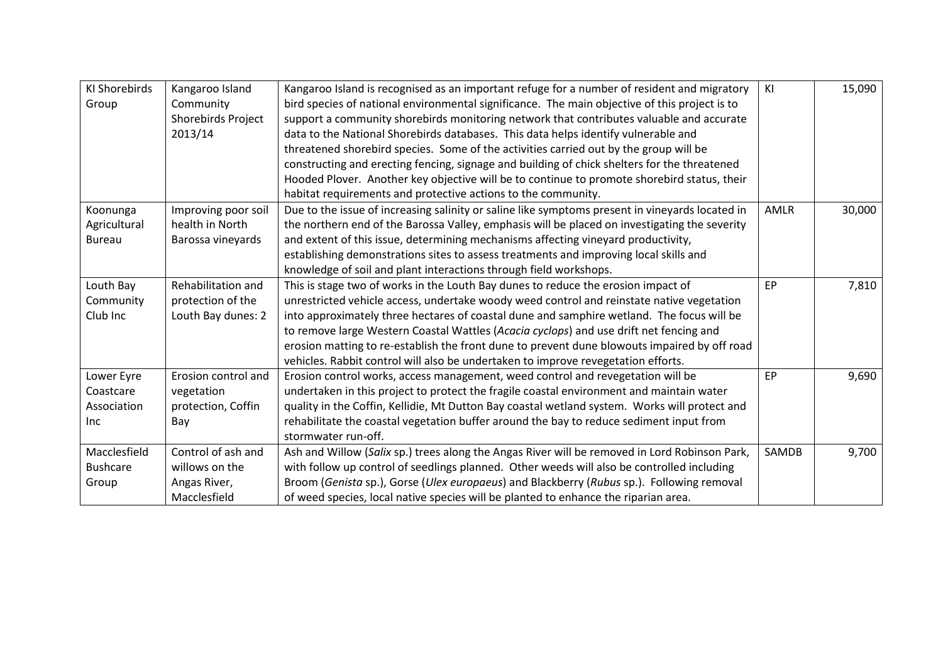| <b>KI Shorebirds</b> | Kangaroo Island     | Kangaroo Island is recognised as an important refuge for a number of resident and migratory     | KI    | 15,090 |
|----------------------|---------------------|-------------------------------------------------------------------------------------------------|-------|--------|
| Group                | Community           | bird species of national environmental significance. The main objective of this project is to   |       |        |
|                      | Shorebirds Project  | support a community shorebirds monitoring network that contributes valuable and accurate        |       |        |
|                      | 2013/14             | data to the National Shorebirds databases. This data helps identify vulnerable and              |       |        |
|                      |                     | threatened shorebird species. Some of the activities carried out by the group will be           |       |        |
|                      |                     | constructing and erecting fencing, signage and building of chick shelters for the threatened    |       |        |
|                      |                     | Hooded Plover. Another key objective will be to continue to promote shorebird status, their     |       |        |
|                      |                     | habitat requirements and protective actions to the community.                                   |       |        |
| Koonunga             | Improving poor soil | Due to the issue of increasing salinity or saline like symptoms present in vineyards located in | AMLR  | 30,000 |
| Agricultural         | health in North     | the northern end of the Barossa Valley, emphasis will be placed on investigating the severity   |       |        |
| <b>Bureau</b>        | Barossa vineyards   | and extent of this issue, determining mechanisms affecting vineyard productivity,               |       |        |
|                      |                     | establishing demonstrations sites to assess treatments and improving local skills and           |       |        |
|                      |                     | knowledge of soil and plant interactions through field workshops.                               |       |        |
| Louth Bay            | Rehabilitation and  | This is stage two of works in the Louth Bay dunes to reduce the erosion impact of               | EP    | 7,810  |
| Community            | protection of the   | unrestricted vehicle access, undertake woody weed control and reinstate native vegetation       |       |        |
| Club Inc             | Louth Bay dunes: 2  | into approximately three hectares of coastal dune and samphire wetland. The focus will be       |       |        |
|                      |                     | to remove large Western Coastal Wattles (Acacia cyclops) and use drift net fencing and          |       |        |
|                      |                     | erosion matting to re-establish the front dune to prevent dune blowouts impaired by off road    |       |        |
|                      |                     | vehicles. Rabbit control will also be undertaken to improve revegetation efforts.               |       |        |
| Lower Eyre           | Erosion control and | Erosion control works, access management, weed control and revegetation will be                 | EP    | 9,690  |
| Coastcare            | vegetation          | undertaken in this project to protect the fragile coastal environment and maintain water        |       |        |
| Association          | protection, Coffin  | quality in the Coffin, Kellidie, Mt Dutton Bay coastal wetland system. Works will protect and   |       |        |
| <b>Inc</b>           | Bay                 | rehabilitate the coastal vegetation buffer around the bay to reduce sediment input from         |       |        |
|                      |                     | stormwater run-off.                                                                             |       |        |
| Macclesfield         | Control of ash and  | Ash and Willow (Salix sp.) trees along the Angas River will be removed in Lord Robinson Park,   | SAMDB | 9,700  |
| <b>Bushcare</b>      | willows on the      | with follow up control of seedlings planned. Other weeds will also be controlled including      |       |        |
| Group                | Angas River,        | Broom (Genista sp.), Gorse (Ulex europaeus) and Blackberry (Rubus sp.). Following removal       |       |        |
|                      | Macclesfield        | of weed species, local native species will be planted to enhance the riparian area.             |       |        |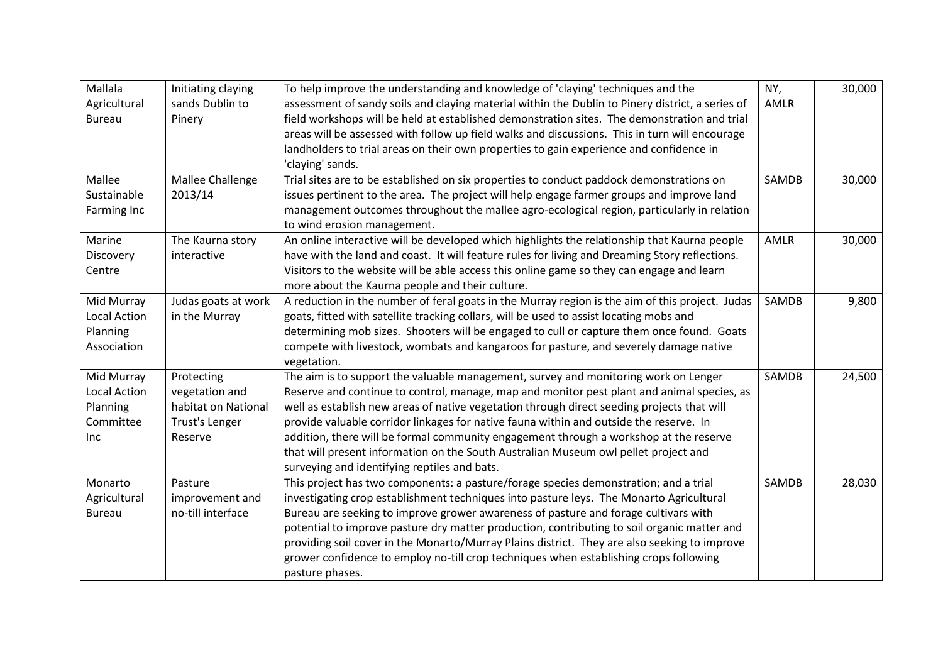| Mallala<br>Agricultural<br><b>Bureau</b>                          | Initiating claying<br>sands Dublin to<br>Pinery                                  | To help improve the understanding and knowledge of 'claying' techniques and the<br>assessment of sandy soils and claying material within the Dublin to Pinery district, a series of<br>field workshops will be held at established demonstration sites. The demonstration and trial<br>areas will be assessed with follow up field walks and discussions. This in turn will encourage<br>landholders to trial areas on their own properties to gain experience and confidence in<br>'claying' sands.                                                                                                      | NY,<br>AMLR | 30,000 |
|-------------------------------------------------------------------|----------------------------------------------------------------------------------|-----------------------------------------------------------------------------------------------------------------------------------------------------------------------------------------------------------------------------------------------------------------------------------------------------------------------------------------------------------------------------------------------------------------------------------------------------------------------------------------------------------------------------------------------------------------------------------------------------------|-------------|--------|
| Mallee<br>Sustainable<br>Farming Inc                              | Mallee Challenge<br>2013/14                                                      | Trial sites are to be established on six properties to conduct paddock demonstrations on<br>issues pertinent to the area. The project will help engage farmer groups and improve land<br>management outcomes throughout the mallee agro-ecological region, particularly in relation<br>to wind erosion management.                                                                                                                                                                                                                                                                                        | SAMDB       | 30,000 |
| Marine<br>Discovery<br>Centre                                     | The Kaurna story<br>interactive                                                  | An online interactive will be developed which highlights the relationship that Kaurna people<br>have with the land and coast. It will feature rules for living and Dreaming Story reflections.<br>Visitors to the website will be able access this online game so they can engage and learn<br>more about the Kaurna people and their culture.                                                                                                                                                                                                                                                            | AMLR        | 30,000 |
| Mid Murray<br><b>Local Action</b><br>Planning<br>Association      | Judas goats at work<br>in the Murray                                             | A reduction in the number of feral goats in the Murray region is the aim of this project. Judas<br>goats, fitted with satellite tracking collars, will be used to assist locating mobs and<br>determining mob sizes. Shooters will be engaged to cull or capture them once found. Goats<br>compete with livestock, wombats and kangaroos for pasture, and severely damage native<br>vegetation.                                                                                                                                                                                                           | SAMDB       | 9,800  |
| Mid Murray<br><b>Local Action</b><br>Planning<br>Committee<br>Inc | Protecting<br>vegetation and<br>habitat on National<br>Trust's Lenger<br>Reserve | The aim is to support the valuable management, survey and monitoring work on Lenger<br>Reserve and continue to control, manage, map and monitor pest plant and animal species, as<br>well as establish new areas of native vegetation through direct seeding projects that will<br>provide valuable corridor linkages for native fauna within and outside the reserve. In<br>addition, there will be formal community engagement through a workshop at the reserve<br>that will present information on the South Australian Museum owl pellet project and<br>surveying and identifying reptiles and bats. | SAMDB       | 24,500 |
| Monarto<br>Agricultural<br><b>Bureau</b>                          | Pasture<br>improvement and<br>no-till interface                                  | This project has two components: a pasture/forage species demonstration; and a trial<br>investigating crop establishment techniques into pasture leys. The Monarto Agricultural<br>Bureau are seeking to improve grower awareness of pasture and forage cultivars with<br>potential to improve pasture dry matter production, contributing to soil organic matter and<br>providing soil cover in the Monarto/Murray Plains district. They are also seeking to improve<br>grower confidence to employ no-till crop techniques when establishing crops following<br>pasture phases.                         | SAMDB       | 28,030 |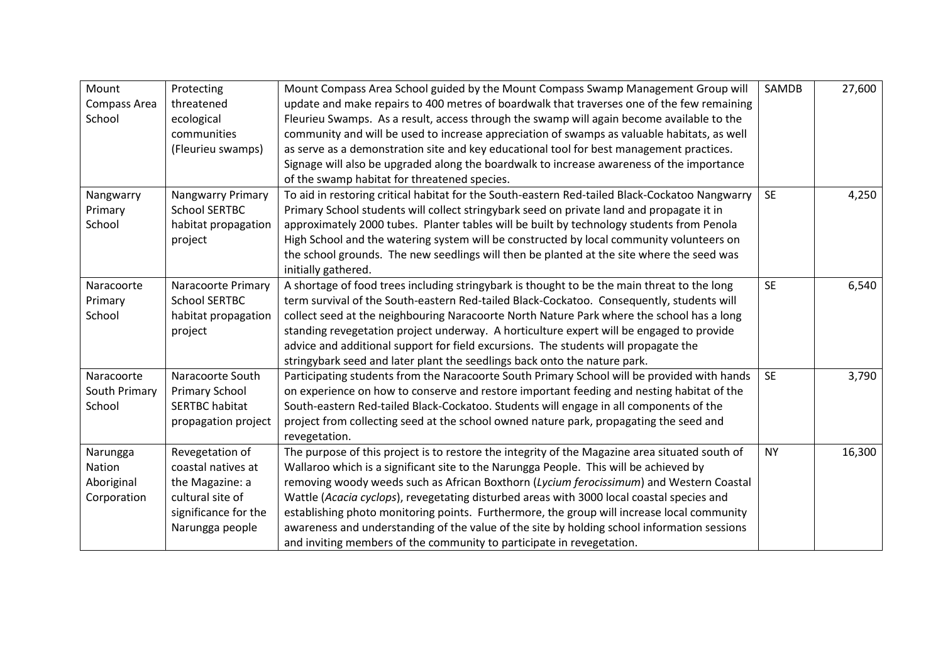| Mount         | Protecting               | Mount Compass Area School guided by the Mount Compass Swamp Management Group will              | SAMDB     | 27,600 |
|---------------|--------------------------|------------------------------------------------------------------------------------------------|-----------|--------|
| Compass Area  | threatened               | update and make repairs to 400 metres of boardwalk that traverses one of the few remaining     |           |        |
| School        | ecological               | Fleurieu Swamps. As a result, access through the swamp will again become available to the      |           |        |
|               | communities              | community and will be used to increase appreciation of swamps as valuable habitats, as well    |           |        |
|               | (Fleurieu swamps)        | as serve as a demonstration site and key educational tool for best management practices.       |           |        |
|               |                          | Signage will also be upgraded along the boardwalk to increase awareness of the importance      |           |        |
|               |                          | of the swamp habitat for threatened species.                                                   |           |        |
| Nangwarry     | <b>Nangwarry Primary</b> | To aid in restoring critical habitat for the South-eastern Red-tailed Black-Cockatoo Nangwarry | <b>SE</b> | 4,250  |
| Primary       | <b>School SERTBC</b>     | Primary School students will collect stringybark seed on private land and propagate it in      |           |        |
| School        | habitat propagation      | approximately 2000 tubes. Planter tables will be built by technology students from Penola      |           |        |
|               | project                  | High School and the watering system will be constructed by local community volunteers on       |           |        |
|               |                          | the school grounds. The new seedlings will then be planted at the site where the seed was      |           |        |
|               |                          | initially gathered.                                                                            |           |        |
| Naracoorte    | Naracoorte Primary       | A shortage of food trees including stringybark is thought to be the main threat to the long    | <b>SE</b> | 6,540  |
| Primary       | <b>School SERTBC</b>     | term survival of the South-eastern Red-tailed Black-Cockatoo. Consequently, students will      |           |        |
| School        | habitat propagation      | collect seed at the neighbouring Naracoorte North Nature Park where the school has a long      |           |        |
|               | project                  | standing revegetation project underway. A horticulture expert will be engaged to provide       |           |        |
|               |                          | advice and additional support for field excursions. The students will propagate the            |           |        |
|               |                          | stringybark seed and later plant the seedlings back onto the nature park.                      |           |        |
| Naracoorte    | Naracoorte South         | Participating students from the Naracoorte South Primary School will be provided with hands    | <b>SE</b> | 3,790  |
| South Primary | <b>Primary School</b>    | on experience on how to conserve and restore important feeding and nesting habitat of the      |           |        |
| School        | <b>SERTBC habitat</b>    | South-eastern Red-tailed Black-Cockatoo. Students will engage in all components of the         |           |        |
|               | propagation project      | project from collecting seed at the school owned nature park, propagating the seed and         |           |        |
|               |                          | revegetation.                                                                                  |           |        |
| Narungga      | Revegetation of          | The purpose of this project is to restore the integrity of the Magazine area situated south of | <b>NY</b> | 16,300 |
| Nation        | coastal natives at       | Wallaroo which is a significant site to the Narungga People. This will be achieved by          |           |        |
| Aboriginal    | the Magazine: a          | removing woody weeds such as African Boxthorn (Lycium ferocissimum) and Western Coastal        |           |        |
| Corporation   | cultural site of         | Wattle (Acacia cyclops), revegetating disturbed areas with 3000 local coastal species and      |           |        |
|               | significance for the     | establishing photo monitoring points. Furthermore, the group will increase local community     |           |        |
|               | Narungga people          | awareness and understanding of the value of the site by holding school information sessions    |           |        |
|               |                          | and inviting members of the community to participate in revegetation.                          |           |        |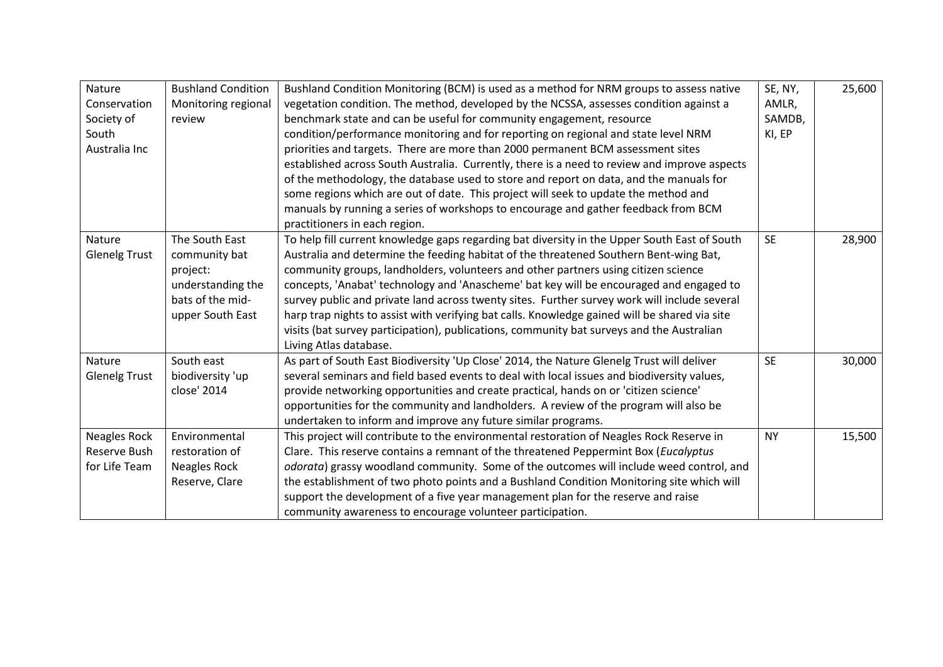| Nature               | <b>Bushland Condition</b> | Bushland Condition Monitoring (BCM) is used as a method for NRM groups to assess native       | SE, NY,   | 25,600 |
|----------------------|---------------------------|-----------------------------------------------------------------------------------------------|-----------|--------|
| Conservation         | Monitoring regional       | vegetation condition. The method, developed by the NCSSA, assesses condition against a        | AMLR,     |        |
| Society of           | review                    | benchmark state and can be useful for community engagement, resource                          | SAMDB,    |        |
| South                |                           | condition/performance monitoring and for reporting on regional and state level NRM            | KI, EP    |        |
| Australia Inc        |                           | priorities and targets. There are more than 2000 permanent BCM assessment sites               |           |        |
|                      |                           | established across South Australia. Currently, there is a need to review and improve aspects  |           |        |
|                      |                           | of the methodology, the database used to store and report on data, and the manuals for        |           |        |
|                      |                           | some regions which are out of date. This project will seek to update the method and           |           |        |
|                      |                           | manuals by running a series of workshops to encourage and gather feedback from BCM            |           |        |
|                      |                           | practitioners in each region.                                                                 |           |        |
| Nature               | The South East            | To help fill current knowledge gaps regarding bat diversity in the Upper South East of South  | <b>SE</b> | 28,900 |
| <b>Glenelg Trust</b> | community bat             | Australia and determine the feeding habitat of the threatened Southern Bent-wing Bat,         |           |        |
|                      | project:                  | community groups, landholders, volunteers and other partners using citizen science            |           |        |
|                      | understanding the         | concepts, 'Anabat' technology and 'Anascheme' bat key will be encouraged and engaged to       |           |        |
|                      | bats of the mid-          | survey public and private land across twenty sites. Further survey work will include several  |           |        |
|                      | upper South East          | harp trap nights to assist with verifying bat calls. Knowledge gained will be shared via site |           |        |
|                      |                           | visits (bat survey participation), publications, community bat surveys and the Australian     |           |        |
|                      |                           | Living Atlas database.                                                                        |           |        |
| Nature               | South east                | As part of South East Biodiversity 'Up Close' 2014, the Nature Glenelg Trust will deliver     | <b>SE</b> | 30,000 |
| <b>Glenelg Trust</b> | biodiversity 'up          | several seminars and field based events to deal with local issues and biodiversity values,    |           |        |
|                      | close' 2014               | provide networking opportunities and create practical, hands on or 'citizen science'          |           |        |
|                      |                           | opportunities for the community and landholders. A review of the program will also be         |           |        |
|                      |                           | undertaken to inform and improve any future similar programs.                                 |           |        |
| <b>Neagles Rock</b>  | Environmental             | This project will contribute to the environmental restoration of Neagles Rock Reserve in      | <b>NY</b> | 15,500 |
| Reserve Bush         | restoration of            | Clare. This reserve contains a remnant of the threatened Peppermint Box (Eucalyptus           |           |        |
| for Life Team        | Neagles Rock              | odorata) grassy woodland community. Some of the outcomes will include weed control, and       |           |        |
|                      | Reserve, Clare            | the establishment of two photo points and a Bushland Condition Monitoring site which will     |           |        |
|                      |                           | support the development of a five year management plan for the reserve and raise              |           |        |
|                      |                           | community awareness to encourage volunteer participation.                                     |           |        |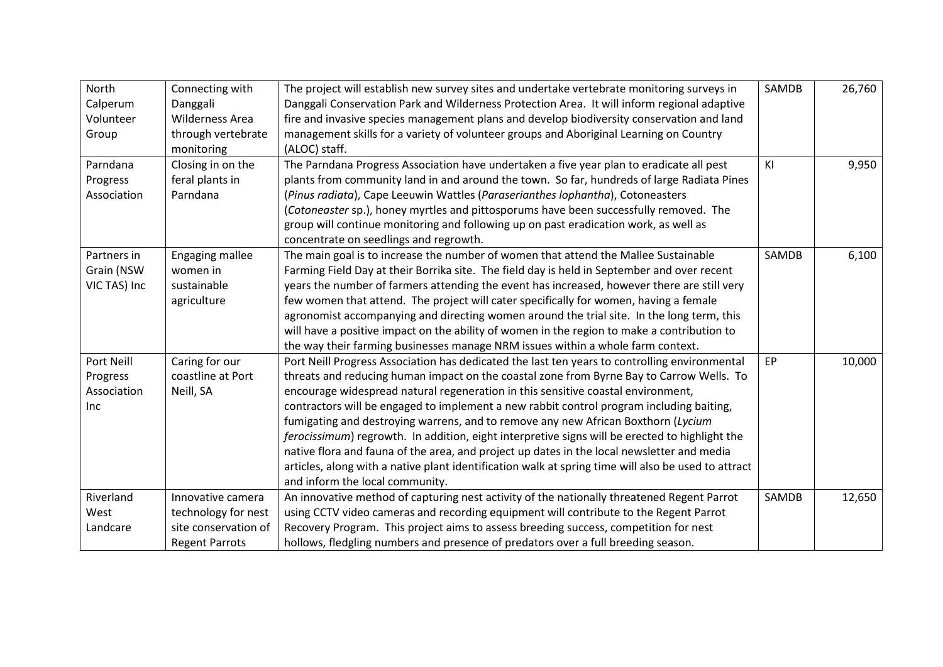| North<br>Calperum<br>Volunteer<br>Group      | Connecting with<br>Danggali<br><b>Wilderness Area</b><br>through vertebrate<br>monitoring | The project will establish new survey sites and undertake vertebrate monitoring surveys in<br>Danggali Conservation Park and Wilderness Protection Area. It will inform regional adaptive<br>fire and invasive species management plans and develop biodiversity conservation and land<br>management skills for a variety of volunteer groups and Aboriginal Learning on Country<br>(ALOC) staff.                                                                                                                                                                                                                                                                                                                                                                                                        | SAMDB | 26,760 |
|----------------------------------------------|-------------------------------------------------------------------------------------------|----------------------------------------------------------------------------------------------------------------------------------------------------------------------------------------------------------------------------------------------------------------------------------------------------------------------------------------------------------------------------------------------------------------------------------------------------------------------------------------------------------------------------------------------------------------------------------------------------------------------------------------------------------------------------------------------------------------------------------------------------------------------------------------------------------|-------|--------|
| Parndana<br>Progress<br>Association          | Closing in on the<br>feral plants in<br>Parndana                                          | The Parndana Progress Association have undertaken a five year plan to eradicate all pest<br>plants from community land in and around the town. So far, hundreds of large Radiata Pines<br>(Pinus radiata), Cape Leeuwin Wattles (Paraserianthes lophantha), Cotoneasters<br>(Cotoneaster sp.), honey myrtles and pittosporums have been successfully removed. The<br>group will continue monitoring and following up on past eradication work, as well as<br>concentrate on seedlings and regrowth.                                                                                                                                                                                                                                                                                                      | KI    | 9,950  |
| Partners in<br>Grain (NSW<br>VIC TAS) Inc    | Engaging mallee<br>women in<br>sustainable<br>agriculture                                 | The main goal is to increase the number of women that attend the Mallee Sustainable<br>Farming Field Day at their Borrika site. The field day is held in September and over recent<br>years the number of farmers attending the event has increased, however there are still very<br>few women that attend. The project will cater specifically for women, having a female<br>agronomist accompanying and directing women around the trial site. In the long term, this<br>will have a positive impact on the ability of women in the region to make a contribution to<br>the way their farming businesses manage NRM issues within a whole farm context.                                                                                                                                                | SAMDB | 6,100  |
| Port Neill<br>Progress<br>Association<br>Inc | Caring for our<br>coastline at Port<br>Neill, SA                                          | Port Neill Progress Association has dedicated the last ten years to controlling environmental<br>threats and reducing human impact on the coastal zone from Byrne Bay to Carrow Wells. To<br>encourage widespread natural regeneration in this sensitive coastal environment,<br>contractors will be engaged to implement a new rabbit control program including baiting,<br>fumigating and destroying warrens, and to remove any new African Boxthorn (Lycium<br>ferocissimum) regrowth. In addition, eight interpretive signs will be erected to highlight the<br>native flora and fauna of the area, and project up dates in the local newsletter and media<br>articles, along with a native plant identification walk at spring time will also be used to attract<br>and inform the local community. | EP    | 10,000 |
| Riverland<br>West<br>Landcare                | Innovative camera<br>technology for nest<br>site conservation of<br><b>Regent Parrots</b> | An innovative method of capturing nest activity of the nationally threatened Regent Parrot<br>using CCTV video cameras and recording equipment will contribute to the Regent Parrot<br>Recovery Program. This project aims to assess breeding success, competition for nest<br>hollows, fledgling numbers and presence of predators over a full breeding season.                                                                                                                                                                                                                                                                                                                                                                                                                                         | SAMDB | 12,650 |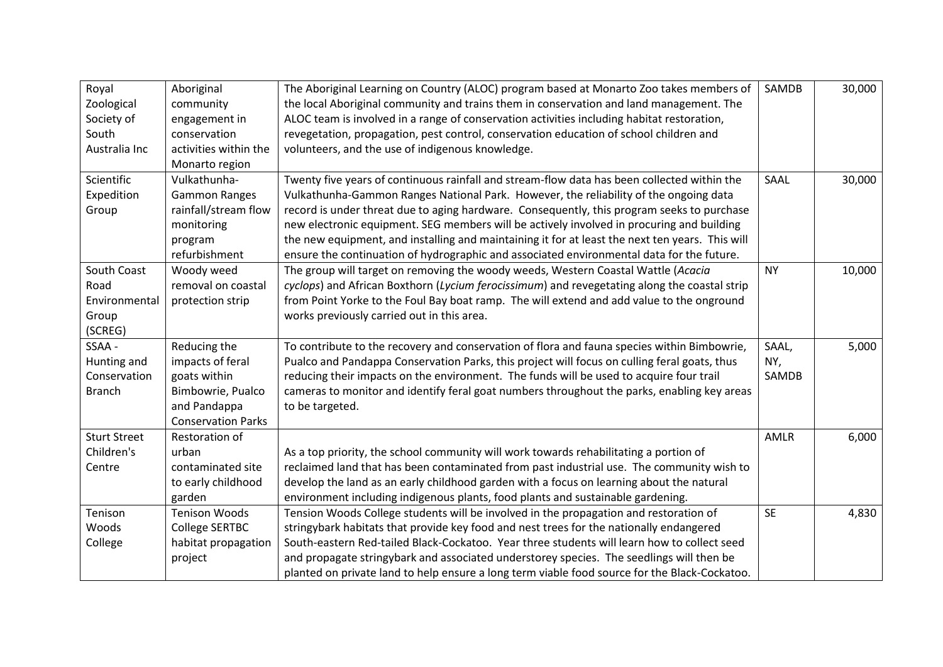| Royal<br>Zoological<br>Society of<br>South<br>Australia Inc | Aboriginal<br>community<br>engagement in<br>conservation<br>activities within the<br>Monarto region                | The Aboriginal Learning on Country (ALOC) program based at Monarto Zoo takes members of<br>the local Aboriginal community and trains them in conservation and land management. The<br>ALOC team is involved in a range of conservation activities including habitat restoration,<br>revegetation, propagation, pest control, conservation education of school children and<br>volunteers, and the use of indigenous knowledge.                                                                                                                                                  | SAMDB                 | 30,000 |
|-------------------------------------------------------------|--------------------------------------------------------------------------------------------------------------------|---------------------------------------------------------------------------------------------------------------------------------------------------------------------------------------------------------------------------------------------------------------------------------------------------------------------------------------------------------------------------------------------------------------------------------------------------------------------------------------------------------------------------------------------------------------------------------|-----------------------|--------|
| Scientific<br>Expedition<br>Group                           | Vulkathunha-<br><b>Gammon Ranges</b><br>rainfall/stream flow<br>monitoring<br>program<br>refurbishment             | Twenty five years of continuous rainfall and stream-flow data has been collected within the<br>Vulkathunha-Gammon Ranges National Park. However, the reliability of the ongoing data<br>record is under threat due to aging hardware. Consequently, this program seeks to purchase<br>new electronic equipment. SEG members will be actively involved in procuring and building<br>the new equipment, and installing and maintaining it for at least the next ten years. This will<br>ensure the continuation of hydrographic and associated environmental data for the future. | SAAL                  | 30,000 |
| South Coast<br>Road<br>Environmental<br>Group<br>(SCREG)    | Woody weed<br>removal on coastal<br>protection strip                                                               | The group will target on removing the woody weeds, Western Coastal Wattle (Acacia<br>cyclops) and African Boxthorn (Lycium ferocissimum) and revegetating along the coastal strip<br>from Point Yorke to the Foul Bay boat ramp. The will extend and add value to the onground<br>works previously carried out in this area.                                                                                                                                                                                                                                                    | <b>NY</b>             | 10,000 |
| SSAA -<br>Hunting and<br>Conservation<br><b>Branch</b>      | Reducing the<br>impacts of feral<br>goats within<br>Bimbowrie, Pualco<br>and Pandappa<br><b>Conservation Parks</b> | To contribute to the recovery and conservation of flora and fauna species within Bimbowrie,<br>Pualco and Pandappa Conservation Parks, this project will focus on culling feral goats, thus<br>reducing their impacts on the environment. The funds will be used to acquire four trail<br>cameras to monitor and identify feral goat numbers throughout the parks, enabling key areas<br>to be targeted.                                                                                                                                                                        | SAAL,<br>NY,<br>SAMDB | 5,000  |
| <b>Sturt Street</b><br>Children's<br>Centre                 | Restoration of<br>urban<br>contaminated site<br>to early childhood<br>garden                                       | As a top priority, the school community will work towards rehabilitating a portion of<br>reclaimed land that has been contaminated from past industrial use. The community wish to<br>develop the land as an early childhood garden with a focus on learning about the natural<br>environment including indigenous plants, food plants and sustainable gardening.                                                                                                                                                                                                               | AMLR                  | 6,000  |
| Tenison<br>Woods<br>College                                 | <b>Tenison Woods</b><br><b>College SERTBC</b><br>habitat propagation<br>project                                    | Tension Woods College students will be involved in the propagation and restoration of<br>stringybark habitats that provide key food and nest trees for the nationally endangered<br>South-eastern Red-tailed Black-Cockatoo. Year three students will learn how to collect seed<br>and propagate stringybark and associated understorey species. The seedlings will then be<br>planted on private land to help ensure a long term viable food source for the Black-Cockatoo.                                                                                                    | <b>SE</b>             | 4,830  |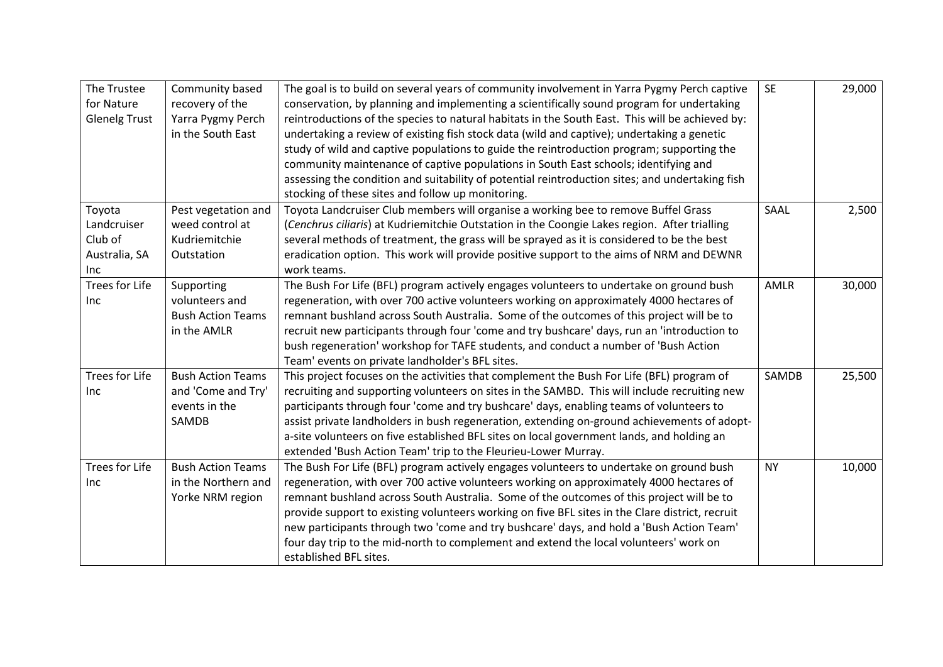| The Trustee<br>for Nature<br><b>Glenelg Trust</b>        | Community based<br>recovery of the<br>Yarra Pygmy Perch<br>in the South East | The goal is to build on several years of community involvement in Yarra Pygmy Perch captive<br>conservation, by planning and implementing a scientifically sound program for undertaking<br>reintroductions of the species to natural habitats in the South East. This will be achieved by:<br>undertaking a review of existing fish stock data (wild and captive); undertaking a genetic<br>study of wild and captive populations to guide the reintroduction program; supporting the<br>community maintenance of captive populations in South East schools; identifying and<br>assessing the condition and suitability of potential reintroduction sites; and undertaking fish<br>stocking of these sites and follow up monitoring. | <b>SE</b> | 29,000 |
|----------------------------------------------------------|------------------------------------------------------------------------------|---------------------------------------------------------------------------------------------------------------------------------------------------------------------------------------------------------------------------------------------------------------------------------------------------------------------------------------------------------------------------------------------------------------------------------------------------------------------------------------------------------------------------------------------------------------------------------------------------------------------------------------------------------------------------------------------------------------------------------------|-----------|--------|
| Toyota<br>Landcruiser<br>Club of<br>Australia, SA<br>Inc | Pest vegetation and<br>weed control at<br>Kudriemitchie<br>Outstation        | Toyota Landcruiser Club members will organise a working bee to remove Buffel Grass<br>(Cenchrus ciliaris) at Kudriemitchie Outstation in the Coongie Lakes region. After trialling<br>several methods of treatment, the grass will be sprayed as it is considered to be the best<br>eradication option. This work will provide positive support to the aims of NRM and DEWNR<br>work teams.                                                                                                                                                                                                                                                                                                                                           | SAAL      | 2,500  |
| <b>Trees for Life</b><br>Inc                             | Supporting<br>volunteers and<br><b>Bush Action Teams</b><br>in the AMLR      | The Bush For Life (BFL) program actively engages volunteers to undertake on ground bush<br>regeneration, with over 700 active volunteers working on approximately 4000 hectares of<br>remnant bushland across South Australia. Some of the outcomes of this project will be to<br>recruit new participants through four 'come and try bushcare' days, run an 'introduction to<br>bush regeneration' workshop for TAFE students, and conduct a number of 'Bush Action<br>Team' events on private landholder's BFL sites.                                                                                                                                                                                                               | AMLR      | 30,000 |
| Trees for Life<br>Inc                                    | <b>Bush Action Teams</b><br>and 'Come and Try'<br>events in the<br>SAMDB     | This project focuses on the activities that complement the Bush For Life (BFL) program of<br>recruiting and supporting volunteers on sites in the SAMBD. This will include recruiting new<br>participants through four 'come and try bushcare' days, enabling teams of volunteers to<br>assist private landholders in bush regeneration, extending on-ground achievements of adopt-<br>a-site volunteers on five established BFL sites on local government lands, and holding an<br>extended 'Bush Action Team' trip to the Fleurieu-Lower Murray.                                                                                                                                                                                    | SAMDB     | 25,500 |
| <b>Trees for Life</b><br>Inc                             | <b>Bush Action Teams</b><br>in the Northern and<br>Yorke NRM region          | The Bush For Life (BFL) program actively engages volunteers to undertake on ground bush<br>regeneration, with over 700 active volunteers working on approximately 4000 hectares of<br>remnant bushland across South Australia. Some of the outcomes of this project will be to<br>provide support to existing volunteers working on five BFL sites in the Clare district, recruit<br>new participants through two 'come and try bushcare' days, and hold a 'Bush Action Team'<br>four day trip to the mid-north to complement and extend the local volunteers' work on<br>established BFL sites.                                                                                                                                      | <b>NY</b> | 10,000 |